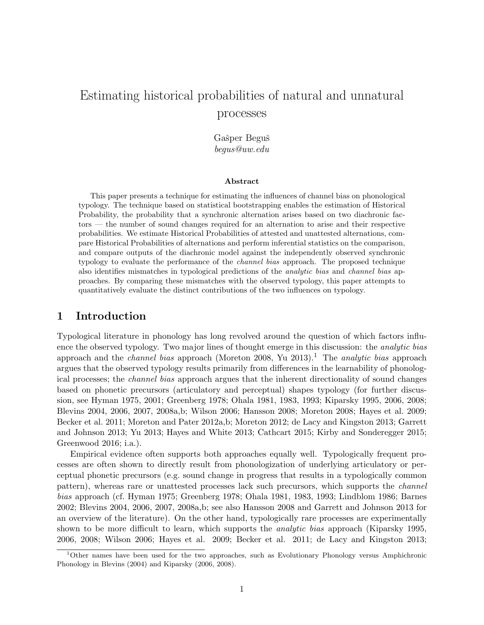# Estimating historical probabilities of natural and unnatural processes

Gašper Beguš begus@uw.edu

### Abstract

This paper presents a technique for estimating the influences of channel bias on phonological typology. The technique based on statistical bootstrapping enables the estimation of Historical Probability, the probability that a synchronic alternation arises based on two diachronic factors — the number of sound changes required for an alternation to arise and their respective probabilities. We estimate Historical Probabilities of attested and unattested alternations, compare Historical Probabilities of alternations and perform inferential statistics on the comparison, and compare outputs of the diachronic model against the independently observed synchronic typology to evaluate the performance of the channel bias approach. The proposed technique also identifies mismatches in typological predictions of the *analytic bias* and *channel bias* approaches. By comparing these mismatches with the observed typology, this paper attempts to quantitatively evaluate the distinct contributions of the two influences on typology.

## 1 Introduction

Typological literature in phonology has long revolved around the question of which factors influence the observed typology. Two major lines of thought emerge in this discussion: the analytic bias approach and the *channel bias* approach (Moreton 2008, Yu 20[1](#page-0-0)3).<sup>1</sup> The *analytic bias* approach argues that the observed typology results primarily from differences in the learnability of phonological processes; the channel bias approach argues that the inherent directionality of sound changes based on phonetic precursors (articulatory and perceptual) shapes typology (for further discussion, see Hyman 1975, 2001; Greenberg 1978; Ohala 1981, 1983, 1993; Kiparsky 1995, 2006, 2008; Blevins 2004, 2006, 2007, 2008a,b; Wilson 2006; Hansson 2008; Moreton 2008; Hayes et al. 2009; Becker et al. 2011; Moreton and Pater 2012a,b; Moreton 2012; de Lacy and Kingston 2013; Garrett and Johnson 2013; Yu 2013; Hayes and White 2013; Cathcart 2015; Kirby and Sonderegger 2015; Greenwood 2016; i.a.).

Empirical evidence often supports both approaches equally well. Typologically frequent processes are often shown to directly result from phonologization of underlying articulatory or perceptual phonetic precursors (e.g. sound change in progress that results in a typologically common pattern), whereas rare or unattested processes lack such precursors, which supports the channel bias approach (cf. Hyman 1975; Greenberg 1978; Ohala 1981, 1983, 1993; Lindblom 1986; Barnes 2002; Blevins 2004, 2006, 2007, 2008a,b; see also Hansson 2008 and Garrett and Johnson 2013 for an overview of the literature). On the other hand, typologically rare processes are experimentally shown to be more difficult to learn, which supports the *analytic bias* approach (Kiparsky 1995, 2006, 2008; Wilson 2006; Hayes et al. 2009; Becker et al. 2011; de Lacy and Kingston 2013;

<span id="page-0-0"></span><sup>1</sup>Other names have been used for the two approaches, such as Evolutionary Phonology versus Amphichronic Phonology in Blevins (2004) and Kiparsky (2006, 2008).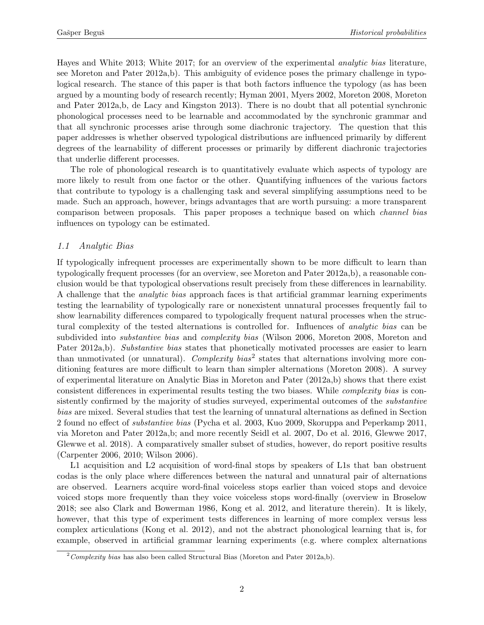Hayes and White 2013; White 2017; for an overview of the experimental analytic bias literature, see Moreton and Pater 2012a,b). This ambiguity of evidence poses the primary challenge in typological research. The stance of this paper is that both factors influence the typology (as has been argued by a mounting body of research recently; Hyman 2001, Myers 2002, Moreton 2008, Moreton and Pater 2012a,b, de Lacy and Kingston 2013). There is no doubt that all potential synchronic phonological processes need to be learnable and accommodated by the synchronic grammar and that all synchronic processes arise through some diachronic trajectory. The question that this paper addresses is whether observed typological distributions are influenced primarily by different degrees of the learnability of different processes or primarily by different diachronic trajectories that underlie different processes.

The role of phonological research is to quantitatively evaluate which aspects of typology are more likely to result from one factor or the other. Quantifying influences of the various factors that contribute to typology is a challenging task and several simplifying assumptions need to be made. Such an approach, however, brings advantages that are worth pursuing: a more transparent comparison between proposals. This paper proposes a technique based on which channel bias influences on typology can be estimated.

## 1.1 Analytic Bias

If typologically infrequent processes are experimentally shown to be more difficult to learn than typologically frequent processes (for an overview, see Moreton and Pater 2012a,b), a reasonable conclusion would be that typological observations result precisely from these differences in learnability. A challenge that the analytic bias approach faces is that artificial grammar learning experiments testing the learnability of typologically rare or nonexistent unnatural processes frequently fail to show learnability differences compared to typologically frequent natural processes when the structural complexity of the tested alternations is controlled for. Influences of analytic bias can be subdivided into *substantive bias* and *complexity bias* (Wilson 2006, Moreton 2008, Moreton and Pater 2012a,b). Substantive bias states that phonetically motivated processes are easier to learn than unmotivated (or unnatural). Complexity bias<sup>[2](#page-1-0)</sup> states that alternations involving more conditioning features are more difficult to learn than simpler alternations (Moreton 2008). A survey of experimental literature on Analytic Bias in Moreton and Pater (2012a,b) shows that there exist consistent differences in experimental results testing the two biases. While complexity bias is consistently confirmed by the majority of studies surveyed, experimental outcomes of the substantive bias are mixed. Several studies that test the learning of unnatural alternations as defined in Section [2](#page-4-0) found no effect of substantive bias (Pycha et al. 2003, Kuo 2009, Skoruppa and Peperkamp 2011, via Moreton and Pater 2012a,b; and more recently Seidl et al. 2007, Do et al. 2016, Glewwe 2017, Glewwe et al. 2018). A comparatively smaller subset of studies, however, do report positive results (Carpenter 2006, 2010; Wilson 2006).

L1 acquisition and L2 acquisition of word-final stops by speakers of L1s that ban obstruent codas is the only place where differences between the natural and unnatural pair of alternations are observed. Learners acquire word-final voiceless stops earlier than voiced stops and devoice voiced stops more frequently than they voice voiceless stops word-finally (overview in Broselow 2018; see also Clark and Bowerman 1986, Kong et al. 2012, and literature therein). It is likely, however, that this type of experiment tests differences in learning of more complex versus less complex articulations (Kong et al. 2012), and not the abstract phonological learning that is, for example, observed in artificial grammar learning experiments (e.g. where complex alternations

<span id="page-1-0"></span> $2$ Complexity bias has also been called Structural Bias (Moreton and Pater 2012a,b).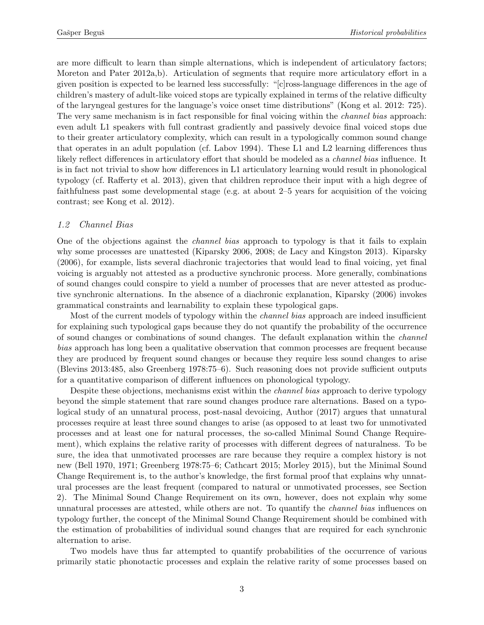are more difficult to learn than simple alternations, which is independent of articulatory factors; Moreton and Pater 2012a,b). Articulation of segments that require more articulatory effort in a given position is expected to be learned less successfully: "[c]ross-language differences in the age of children's mastery of adult-like voiced stops are typically explained in terms of the relative difficulty of the laryngeal gestures for the language's voice onset time distributions" (Kong et al. 2012: 725). The very same mechanism is in fact responsible for final voicing within the *channel bias* approach: even adult L1 speakers with full contrast gradiently and passively devoice final voiced stops due to their greater articulatory complexity, which can result in a typologically common sound change that operates in an adult population (cf. Labov 1994). These L1 and L2 learning differences thus likely reflect differences in articulatory effort that should be modeled as a channel bias influence. It is in fact not trivial to show how differences in L1 articulatory learning would result in phonological typology (cf. Rafferty et al. 2013), given that children reproduce their input with a high degree of faithfulness past some developmental stage (e.g. at about 2–5 years for acquisition of the voicing contrast; see Kong et al. 2012).

### <span id="page-2-0"></span>1.2 Channel Bias

One of the objections against the *channel bias* approach to typology is that it fails to explain why some processes are unattested (Kiparsky 2006, 2008; de Lacy and Kingston 2013). Kiparsky (2006), for example, lists several diachronic trajectories that would lead to final voicing, yet final voicing is arguably not attested as a productive synchronic process. More generally, combinations of sound changes could conspire to yield a number of processes that are never attested as productive synchronic alternations. In the absence of a diachronic explanation, Kiparsky (2006) invokes grammatical constraints and learnability to explain these typological gaps.

Most of the current models of typology within the *channel bias* approach are indeed insufficient for explaining such typological gaps because they do not quantify the probability of the occurrence of sound changes or combinations of sound changes. The default explanation within the channel bias approach has long been a qualitative observation that common processes are frequent because they are produced by frequent sound changes or because they require less sound changes to arise (Blevins 2013:485, also Greenberg 1978:75–6). Such reasoning does not provide sufficient outputs for a quantitative comparison of different influences on phonological typology.

Despite these objections, mechanisms exist within the channel bias approach to derive typology beyond the simple statement that rare sound changes produce rare alternations. Based on a typological study of an unnatural process, post-nasal devoicing, Author (2017) argues that unnatural processes require at least three sound changes to arise (as opposed to at least two for unmotivated processes and at least one for natural processes, the so-called Minimal Sound Change Requirement), which explains the relative rarity of processes with different degrees of naturalness. To be sure, the idea that unmotivated processes are rare because they require a complex history is not new (Bell 1970, 1971; Greenberg 1978:75–6; Cathcart 2015; Morley 2015), but the Minimal Sound Change Requirement is, to the author's knowledge, the first formal proof that explains why unnatural processes are the least frequent (compared to natural or unmotivated processes, see Section [2\)](#page-4-0). The Minimal Sound Change Requirement on its own, however, does not explain why some unnatural processes are attested, while others are not. To quantify the channel bias influences on typology further, the concept of the Minimal Sound Change Requirement should be combined with the estimation of probabilities of individual sound changes that are required for each synchronic alternation to arise.

Two models have thus far attempted to quantify probabilities of the occurrence of various primarily static phonotactic processes and explain the relative rarity of some processes based on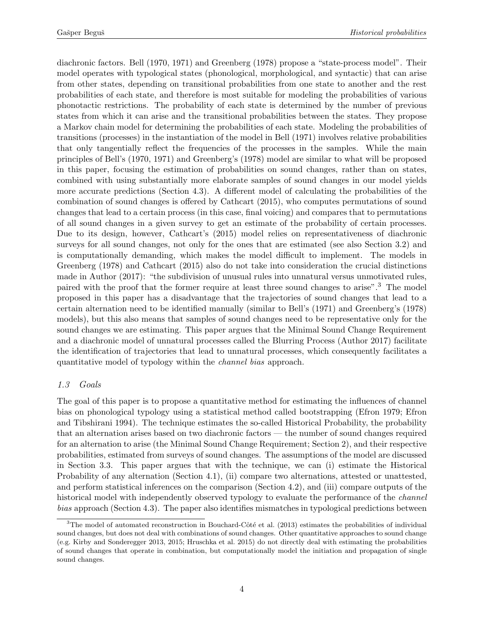diachronic factors. Bell (1970, 1971) and Greenberg (1978) propose a "state-process model". Their model operates with typological states (phonological, morphological, and syntactic) that can arise from other states, depending on transitional probabilities from one state to another and the rest probabilities of each state, and therefore is most suitable for modeling the probabilities of various phonotactic restrictions. The probability of each state is determined by the number of previous states from which it can arise and the transitional probabilities between the states. They propose a Markov chain model for determining the probabilities of each state. Modeling the probabilities of transitions (processes) in the instantiation of the model in Bell (1971) involves relative probabilities that only tangentially reflect the frequencies of the processes in the samples. While the main principles of Bell's (1970, 1971) and Greenberg's (1978) model are similar to what will be proposed in this paper, focusing the estimation of probabilities on sound changes, rather than on states, combined with using substantially more elaborate samples of sound changes in our model yields more accurate predictions (Section [4.3\)](#page-18-0). A different model of calculating the probabilities of the combination of sound changes is offered by Cathcart (2015), who computes permutations of sound changes that lead to a certain process (in this case, final voicing) and compares that to permutations of all sound changes in a given survey to get an estimate of the probability of certain processes. Due to its design, however, Cathcart's (2015) model relies on representativeness of diachronic surveys for all sound changes, not only for the ones that are estimated (see also Section [3.2\)](#page-8-0) and is computationally demanding, which makes the model difficult to implement. The models in Greenberg (1978) and Cathcart (2015) also do not take into consideration the crucial distinctions made in Author (2017): "the subdivision of unusual rules into unnatural versus unmotivated rules, paired with the proof that the former require at least three sound changes to arise".[3](#page-3-0) The model proposed in this paper has a disadvantage that the trajectories of sound changes that lead to a certain alternation need to be identified manually (similar to Bell's (1971) and Greenberg's (1978) models), but this also means that samples of sound changes need to be representative only for the sound changes we are estimating. This paper argues that the Minimal Sound Change Requirement and a diachronic model of unnatural processes called the Blurring Process (Author 2017) facilitate the identification of trajectories that lead to unnatural processes, which consequently facilitates a quantitative model of typology within the channel bias approach.

## 1.3 Goals

The goal of this paper is to propose a quantitative method for estimating the influences of channel bias on phonological typology using a statistical method called bootstrapping (Efron 1979; Efron and Tibshirani 1994). The technique estimates the so-called Historical Probability, the probability that an alternation arises based on two diachronic factors — the number of sound changes required for an alternation to arise (the Minimal Sound Change Requirement; Section [2\)](#page-4-0), and their respective probabilities, estimated from surveys of sound changes. The assumptions of the model are discussed in Section [3.3.](#page-9-0) This paper argues that with the technique, we can (i) estimate the Historical Probability of any alternation (Section [4.1\)](#page-11-0), (ii) compare two alternations, attested or unattested, and perform statistical inferences on the comparison (Section [4.2\)](#page-15-0), and (iii) compare outputs of the historical model with independently observed typology to evaluate the performance of the *channel* bias approach (Section [4.3\)](#page-18-0). The paper also identifies mismatches in typological predictions between

<span id="page-3-0"></span> $3$ The model of automated reconstruction in Bouchard-Côté et al. (2013) estimates the probabilities of individual sound changes, but does not deal with combinations of sound changes. Other quantitative approaches to sound change (e.g. Kirby and Sonderegger 2013, 2015; Hruschka et al. 2015) do not directly deal with estimating the probabilities of sound changes that operate in combination, but computationally model the initiation and propagation of single sound changes.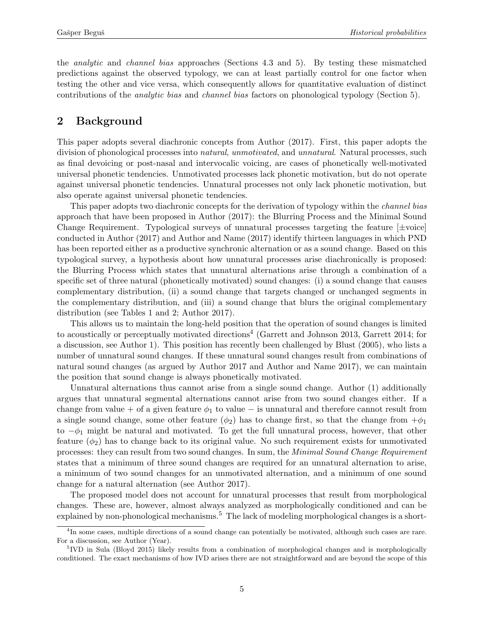the analytic and channel bias approaches (Sections [4.3](#page-18-0) and [5\)](#page-20-0). By testing these mismatched predictions against the observed typology, we can at least partially control for one factor when testing the other and vice versa, which consequently allows for quantitative evaluation of distinct contributions of the analytic bias and channel bias factors on phonological typology (Section [5\)](#page-20-0).

# <span id="page-4-0"></span>2 Background

This paper adopts several diachronic concepts from Author (2017). First, this paper adopts the division of phonological processes into *natural, unmotivated*, and *unnatural*. Natural processes, such as final devoicing or post-nasal and intervocalic voicing, are cases of phonetically well-motivated universal phonetic tendencies. Unmotivated processes lack phonetic motivation, but do not operate against universal phonetic tendencies. Unnatural processes not only lack phonetic motivation, but also operate against universal phonetic tendencies.

This paper adopts two diachronic concepts for the derivation of typology within the channel bias approach that have been proposed in Author (2017): the Blurring Process and the Minimal Sound Change Requirement. Typological surveys of unnatural processes targeting the feature  $[\pm \text{voice}]$ conducted in Author (2017) and Author and Name (2017) identify thirteen languages in which PND has been reported either as a productive synchronic alternation or as a sound change. Based on this typological survey, a hypothesis about how unnatural processes arise diachronically is proposed: the Blurring Process which states that unnatural alternations arise through a combination of a specific set of three natural (phonetically motivated) sound changes: (i) a sound change that causes complementary distribution, (ii) a sound change that targets changed or unchanged segments in the complementary distribution, and (iii) a sound change that blurs the original complementary distribution (see Tables [1](#page-12-0) and [2;](#page-12-1) Author 2017).

This allows us to maintain the long-held position that the operation of sound changes is limited to acoustically or perceptually motivated directions<sup>[4](#page-4-1)</sup> (Garrett and Johnson 2013, Garrett 2014; for a discussion, see Author 1). This position has recently been challenged by Blust (2005), who lists a number of unnatural sound changes. If these unnatural sound changes result from combinations of natural sound changes (as argued by Author 2017 and Author and Name 2017), we can maintain the position that sound change is always phonetically motivated.

Unnatural alternations thus cannot arise from a single sound change. Author (1) additionally argues that unnatural segmental alternations cannot arise from two sound changes either. If a change from value + of a given feature  $\phi_1$  to value – is unnatural and therefore cannot result from a single sound change, some other feature  $(\phi_2)$  has to change first, so that the change from  $+\phi_1$ to  $-\phi_1$  might be natural and motivated. To get the full unnatural process, however, that other feature  $(\phi_2)$  has to change back to its original value. No such requirement exists for unmotivated processes: they can result from two sound changes. In sum, the Minimal Sound Change Requirement states that a minimum of three sound changes are required for an unnatural alternation to arise, a minimum of two sound changes for an unmotivated alternation, and a minimum of one sound change for a natural alternation (see Author 2017).

The proposed model does not account for unnatural processes that result from morphological changes. These are, however, almost always analyzed as morphologically conditioned and can be explained by non-phonological mechanisms.<sup>[5](#page-4-2)</sup> The lack of modeling morphological changes is a short-

<span id="page-4-1"></span><sup>&</sup>lt;sup>4</sup>In some cases, multiple directions of a sound change can potentially be motivated, although such cases are rare. For a discussion, see Author (Year).

<span id="page-4-2"></span><sup>&</sup>lt;sup>5</sup>IVD in Sula (Bloyd 2015) likely results from a combination of morphological changes and is morphologically conditioned. The exact mechanisms of how IVD arises there are not straightforward and are beyond the scope of this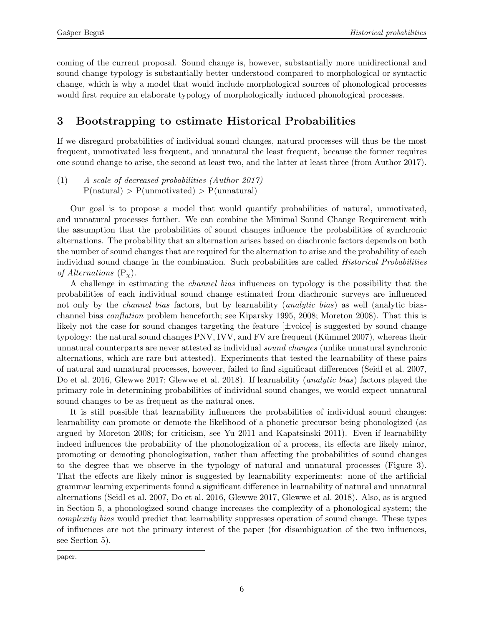coming of the current proposal. Sound change is, however, substantially more unidirectional and sound change typology is substantially better understood compared to morphological or syntactic change, which is why a model that would include morphological sources of phonological processes would first require an elaborate typology of morphologically induced phonological processes.

# <span id="page-5-0"></span>3 Bootstrapping to estimate Historical Probabilities

If we disregard probabilities of individual sound changes, natural processes will thus be the most frequent, unmotivated less frequent, and unnatural the least frequent, because the former requires one sound change to arise, the second at least two, and the latter at least three (from Author 2017).

(1) A scale of decreased probabilities (Author 2017)  $P(\text{natural}) > P(\text{unmotivated}) > P(\text{unnatural})$ 

Our goal is to propose a model that would quantify probabilities of natural, unmotivated, and unnatural processes further. We can combine the Minimal Sound Change Requirement with the assumption that the probabilities of sound changes influence the probabilities of synchronic alternations. The probability that an alternation arises based on diachronic factors depends on both the number of sound changes that are required for the alternation to arise and the probability of each individual sound change in the combination. Such probabilities are called Historical Probabilities of Alternations  $(P_{\chi})$ .

A challenge in estimating the channel bias influences on typology is the possibility that the probabilities of each individual sound change estimated from diachronic surveys are influenced not only by the *channel bias* factors, but by learnability *(analytic bias)* as well *(analytic bias*channel bias conflation problem henceforth; see Kiparsky 1995, 2008; Moreton 2008). That this is likely not the case for sound changes targeting the feature [±voice] is suggested by sound change typology: the natural sound changes PNV, IVV, and FV are frequent (Kümmel 2007), whereas their unnatural counterparts are never attested as individual sound changes (unlike unnatural synchronic alternations, which are rare but attested). Experiments that tested the learnability of these pairs of natural and unnatural processes, however, failed to find significant differences (Seidl et al. 2007, Do et al. 2016, Glewwe 2017; Glewwe et al. 2018). If learnability *(analytic bias)* factors played the primary role in determining probabilities of individual sound changes, we would expect unnatural sound changes to be as frequent as the natural ones.

It is still possible that learnability influences the probabilities of individual sound changes: learnability can promote or demote the likelihood of a phonetic precursor being phonologized (as argued by Moreton 2008; for criticism, see Yu 2011 and Kapatsinski 2011). Even if learnability indeed influences the probability of the phonologization of a process, its effects are likely minor, promoting or demoting phonologization, rather than affecting the probabilities of sound changes to the degree that we observe in the typology of natural and unnatural processes (Figure [3\)](#page-19-0). That the effects are likely minor is suggested by learnability experiments: none of the artificial grammar learning experiments found a significant difference in learnability of natural and unnatural alternations (Seidl et al. 2007, Do et al. 2016, Glewwe 2017, Glewwe et al. 2018). Also, as is argued in Section [5,](#page-20-0) a phonologized sound change increases the complexity of a phonological system; the complexity bias would predict that learnability suppresses operation of sound change. These types of influences are not the primary interest of the paper (for disambiguation of the two influences, see Section [5\)](#page-20-0).

paper.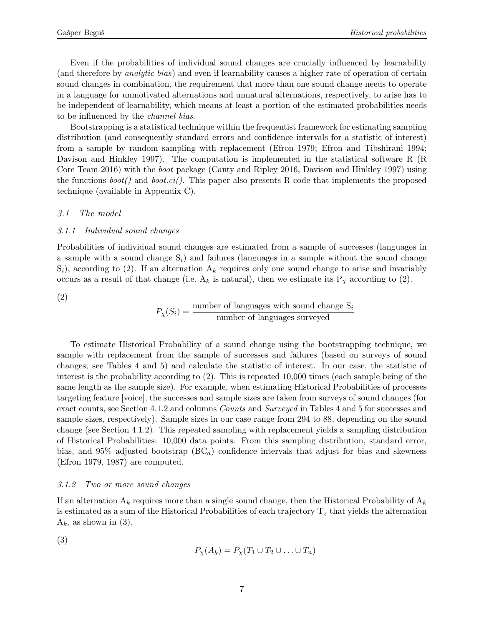Even if the probabilities of individual sound changes are crucially influenced by learnability (and therefore by analytic bias) and even if learnability causes a higher rate of operation of certain sound changes in combination, the requirement that more than one sound change needs to operate in a language for unmotivated alternations and unnatural alternations, respectively, to arise has to be independent of learnability, which means at least a portion of the estimated probabilities needs to be influenced by the channel bias.

Bootstrapping is a statistical technique within the frequentist framework for estimating sampling distribution (and consequently standard errors and confidence intervals for a statistic of interest) from a sample by random sampling with replacement (Efron 1979; Efron and Tibshirani 1994; Davison and Hinkley 1997). The computation is implemented in the statistical software R (R Core Team 2016) with the boot package (Canty and Ripley 2016, Davison and Hinkley 1997) using the functions  $boot()$  and  $boot.ci()$ . This paper also presents R code that implements the proposed technique (available in Appendix [C\)](#page-33-0).

### 3.1 The model

#### <span id="page-6-2"></span>3.1.1 Individual sound changes

Probabilities of individual sound changes are estimated from a sample of successes (languages in a sample with a sound change  $S_i$ ) and failures (languages in a sample without the sound change  $S_i$ , according to [\(2\).](#page-6-0) If an alternation  $A_k$  requires only one sound change to arise and invariably occurs as a result of that change (i.e.  $A_k$  is natural), then we estimate its  $P_\chi$  according to [\(2\).](#page-6-0)

<span id="page-6-0"></span>(2)

$$
P_{\chi}(S_i) = \frac{\text{number of languages with sound change } S_i}{\text{number of languages surveyed}}
$$

To estimate Historical Probability of a sound change using the bootstrapping technique, we sample with replacement from the sample of successes and failures (based on surveys of sound changes; see Tables [4](#page-13-0) and [5\)](#page-16-0) and calculate the statistic of interest. In our case, the statistic of interest is the probability according to [\(2\).](#page-6-0) This is repeated 10,000 times (each sample being of the same length as the sample size). For example, when estimating Historical Probabilities of processes targeting feature [voice], the successes and sample sizes are taken from surveys of sound changes (for exact counts, see Section [4.1.2](#page-13-1) and columns Counts and Surveyed in Tables [4](#page-13-0) and [5](#page-16-0) for successes and sample sizes, respectively). Sample sizes in our case range from 294 to 88, depending on the sound change (see Section [4.1.2\)](#page-13-1). This repeated sampling with replacement yields a sampling distribution of Historical Probabilities: 10,000 data points. From this sampling distribution, standard error, bias, and 95% adjusted bootstrap  $(BC_a)$  confidence intervals that adjust for bias and skewness (Efron 1979, 1987) are computed.

#### <span id="page-6-3"></span>3.1.2 Two or more sound changes

If an alternation  $A_k$  requires more than a single sound change, then the Historical Probability of  $A_k$ is estimated as a sum of the Historical Probabilities of each trajectory  $T_z$  that yields the alternation  $A_k$ , as shown in [\(3\).](#page-6-1)

<span id="page-6-1"></span>(3)

$$
P_{\chi}(A_k) = P_{\chi}(T_1 \cup T_2 \cup \ldots \cup T_n)
$$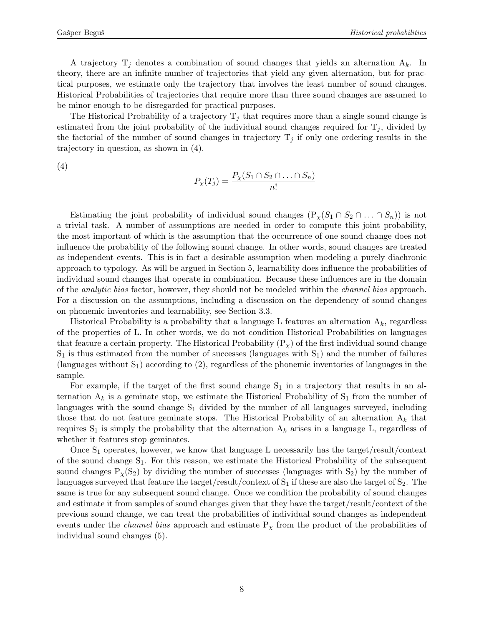A trajectory  $T_j$  denotes a combination of sound changes that yields an alternation  $A_k$ . In theory, there are an infinite number of trajectories that yield any given alternation, but for practical purposes, we estimate only the trajectory that involves the least number of sound changes. Historical Probabilities of trajectories that require more than three sound changes are assumed to be minor enough to be disregarded for practical purposes.

The Historical Probability of a trajectory  $T_j$  that requires more than a single sound change is estimated from the joint probability of the individual sound changes required for  $T_j$ , divided by the factorial of the number of sound changes in trajectory  $T_j$  if only one ordering results in the trajectory in question, as shown in [\(4\).](#page-7-0)

<span id="page-7-0"></span>(4)

$$
P_{\chi}(T_j) = \frac{P_{\chi}(S_1 \cap S_2 \cap \ldots \cap S_n)}{n!}
$$

Estimating the joint probability of individual sound changes  $(P_x(S_1 \cap S_2 \cap ... \cap S_n))$  is not a trivial task. A number of assumptions are needed in order to compute this joint probability, the most important of which is the assumption that the occurrence of one sound change does not influence the probability of the following sound change. In other words, sound changes are treated as independent events. This is in fact a desirable assumption when modeling a purely diachronic approach to typology. As will be argued in Section [5,](#page-20-0) learnability does influence the probabilities of individual sound changes that operate in combination. Because these influences are in the domain of the analytic bias factor, however, they should not be modeled within the channel bias approach. For a discussion on the assumptions, including a discussion on the dependency of sound changes on phonemic inventories and learnability, see Section [3.3.](#page-9-0)

Historical Probability is a probability that a language L features an alternation  $A_k$ , regardless of the properties of L. In other words, we do not condition Historical Probabilities on languages that feature a certain property. The Historical Probability  $(P_{\chi})$  of the first individual sound change  $S_1$  is thus estimated from the number of successes (languages with  $S_1$ ) and the number of failures (languages without  $S_1$ ) according to [\(2\),](#page-6-0) regardless of the phonemic inventories of languages in the sample.

For example, if the target of the first sound change  $S_1$  in a trajectory that results in an alternation  $A_k$  is a geminate stop, we estimate the Historical Probability of  $S_1$  from the number of languages with the sound change  $S_1$  divided by the number of all languages surveyed, including those that do not feature geminate stops. The Historical Probability of an alternation  $A_k$  that requires  $S_1$  is simply the probability that the alternation  $A_k$  arises in a language L, regardless of whether it features stop geminates.

<span id="page-7-1"></span>Once  $S_1$  operates, however, we know that language L necessarily has the target/result/context of the sound change  $S_1$ . For this reason, we estimate the Historical Probability of the subsequent sound changes  $P_\chi(S_2)$  by dividing the number of successes (languages with  $S_2$ ) by the number of languages surveyed that feature the target/result/context of  $S_1$  if these are also the target of  $S_2$ . The same is true for any subsequent sound change. Once we condition the probability of sound changes and estimate it from samples of sound changes given that they have the target/result/context of the previous sound change, we can treat the probabilities of individual sound changes as independent events under the *channel bias* approach and estimate  $P<sub>\chi</sub>$  from the product of the probabilities of individual sound changes [\(5\).](#page-7-1)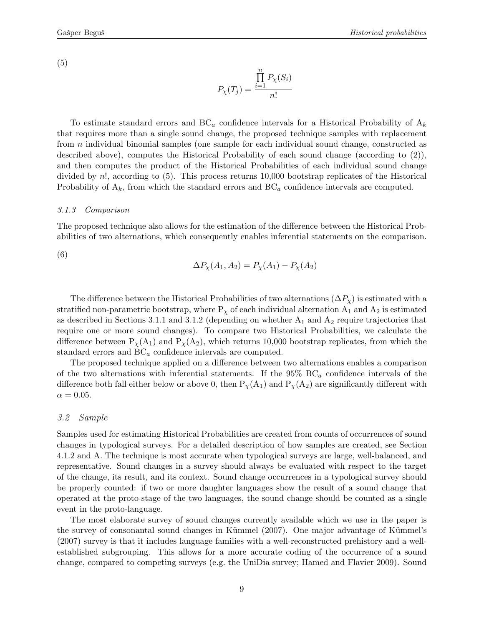(5)

$$
P_{\chi}(T_j) = \frac{\prod_{i=1}^{n} P_{\chi}(S_i)}{n!}
$$

To estimate standard errors and  $BC_a$  confidence intervals for a Historical Probability of  $A_k$ that requires more than a single sound change, the proposed technique samples with replacement from n individual binomial samples (one sample for each individual sound change, constructed as described above), computes the Historical Probability of each sound change (according to [\(2\)\)](#page-6-0), and then computes the product of the Historical Probabilities of each individual sound change divided by n!, according to [\(5\).](#page-7-1) This process returns 10,000 bootstrap replicates of the Historical Probability of  $A_k$ , from which the standard errors and  $BC_a$  confidence intervals are computed.

### <span id="page-8-1"></span>3.1.3 Comparison

The proposed technique also allows for the estimation of the difference between the Historical Probabilities of two alternations, which consequently enables inferential statements on the comparison.

<span id="page-8-2"></span>(6)

$$
\Delta P_{\chi}(A_1, A_2) = P_{\chi}(A_1) - P_{\chi}(A_2)
$$

The difference between the Historical Probabilities of two alternations  $(\Delta P_{\chi})$  is estimated with a stratified non-parametric bootstrap, where  $P_{\chi}$  of each individual alternation  $A_1$  and  $A_2$  is estimated as described in Sections [3.1.1](#page-6-2) and [3.1.2](#page-6-3) (depending on whether  $A_1$  and  $A_2$  require trajectories that require one or more sound changes). To compare two Historical Probabilities, we calculate the difference between  $P_{\chi}(A_1)$  and  $P_{\chi}(A_2)$ , which returns 10,000 bootstrap replicates, from which the standard errors and  $BC_a$  confidence intervals are computed.

The proposed technique applied on a difference between two alternations enables a comparison of the two alternations with inferential statements. If the  $95\%$  BC<sub>a</sub> confidence intervals of the difference both fall either below or above 0, then  $P_{\chi}(A_1)$  and  $P_{\chi}(A_2)$  are significantly different with  $\alpha = 0.05$ .

### <span id="page-8-0"></span>3.2 Sample

Samples used for estimating Historical Probabilities are created from counts of occurrences of sound changes in typological surveys. For a detailed description of how samples are created, see Section [4.1.2](#page-13-1) and [A.](#page-30-0) The technique is most accurate when typological surveys are large, well-balanced, and representative. Sound changes in a survey should always be evaluated with respect to the target of the change, its result, and its context. Sound change occurrences in a typological survey should be properly counted: if two or more daughter languages show the result of a sound change that operated at the proto-stage of the two languages, the sound change should be counted as a single event in the proto-language.

The most elaborate survey of sound changes currently available which we use in the paper is the survey of consonantal sound changes in Kümmel  $(2007)$ . One major advantage of Kümmel's (2007) survey is that it includes language families with a well-reconstructed prehistory and a wellestablished subgrouping. This allows for a more accurate coding of the occurrence of a sound change, compared to competing surveys (e.g. the UniDia survey; Hamed and Flavier 2009). Sound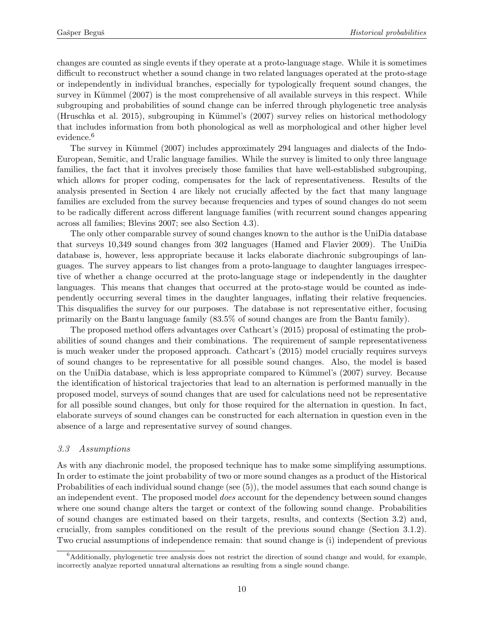changes are counted as single events if they operate at a proto-language stage. While it is sometimes difficult to reconstruct whether a sound change in two related languages operated at the proto-stage or independently in individual branches, especially for typologically frequent sound changes, the survey in Kümmel (2007) is the most comprehensive of all available surveys in this respect. While subgrouping and probabilities of sound change can be inferred through phylogenetic tree analysis (Hruschka et al. 2015), subgrouping in Kümmel's (2007) survey relies on historical methodology that includes information from both phonological as well as morphological and other higher level evidence.<sup>[6](#page-9-1)</sup>

The survey in Kümmel (2007) includes approximately 294 languages and dialects of the Indo-European, Semitic, and Uralic language families. While the survey is limited to only three language families, the fact that it involves precisely those families that have well-established subgrouping, which allows for proper coding, compensates for the lack of representativeness. Results of the analysis presented in Section [4](#page-11-1) are likely not crucially affected by the fact that many language families are excluded from the survey because frequencies and types of sound changes do not seem to be radically different across different language families (with recurrent sound changes appearing across all families; Blevins 2007; see also Section [4.3\)](#page-18-0).

The only other comparable survey of sound changes known to the author is the UniDia database that surveys 10,349 sound changes from 302 languages (Hamed and Flavier 2009). The UniDia database is, however, less appropriate because it lacks elaborate diachronic subgroupings of languages. The survey appears to list changes from a proto-language to daughter languages irrespective of whether a change occurred at the proto-language stage or independently in the daughter languages. This means that changes that occurred at the proto-stage would be counted as independently occurring several times in the daughter languages, inflating their relative frequencies. This disqualifies the survey for our purposes. The database is not representative either, focusing primarily on the Bantu language family (83.5% of sound changes are from the Bantu family).

The proposed method offers advantages over Cathcart's (2015) proposal of estimating the probabilities of sound changes and their combinations. The requirement of sample representativeness is much weaker under the proposed approach. Cathcart's (2015) model crucially requires surveys of sound changes to be representative for all possible sound changes. Also, the model is based on the UniDia database, which is less appropriate compared to Kümmel's (2007) survey. Because the identification of historical trajectories that lead to an alternation is performed manually in the proposed model, surveys of sound changes that are used for calculations need not be representative for all possible sound changes, but only for those required for the alternation in question. In fact, elaborate surveys of sound changes can be constructed for each alternation in question even in the absence of a large and representative survey of sound changes.

### <span id="page-9-0"></span>3.3 Assumptions

As with any diachronic model, the proposed technique has to make some simplifying assumptions. In order to estimate the joint probability of two or more sound changes as a product of the Historical Probabilities of each individual sound change (see [\(5\)\)](#page-7-1), the model assumes that each sound change is an independent event. The proposed model *does* account for the dependency between sound changes where one sound change alters the target or context of the following sound change. Probabilities of sound changes are estimated based on their targets, results, and contexts (Section [3.2\)](#page-8-0) and, crucially, from samples conditioned on the result of the previous sound change (Section [3.1.2\)](#page-6-3). Two crucial assumptions of independence remain: that sound change is (i) independent of previous

<span id="page-9-1"></span> $6$ Additionally, phylogenetic tree analysis does not restrict the direction of sound change and would, for example, incorrectly analyze reported unnatural alternations as resulting from a single sound change.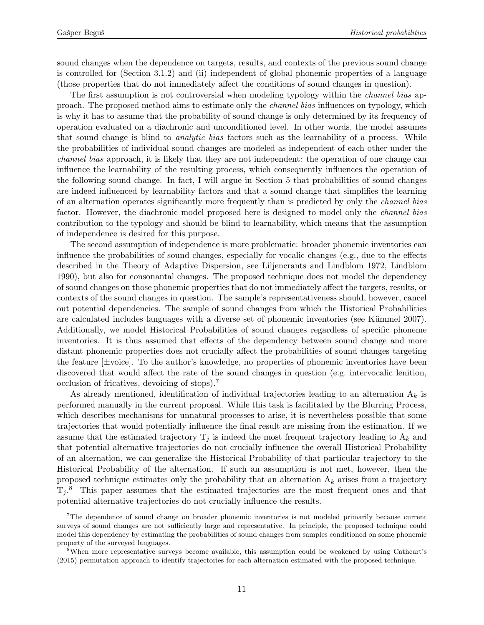sound changes when the dependence on targets, results, and contexts of the previous sound change is controlled for (Section [3.1.2\)](#page-6-3) and (ii) independent of global phonemic properties of a language (those properties that do not immediately affect the conditions of sound changes in question).

The first assumption is not controversial when modeling typology within the *channel bias* approach. The proposed method aims to estimate only the channel bias influences on typology, which is why it has to assume that the probability of sound change is only determined by its frequency of operation evaluated on a diachronic and unconditioned level. In other words, the model assumes that sound change is blind to analytic bias factors such as the learnability of a process. While the probabilities of individual sound changes are modeled as independent of each other under the channel bias approach, it is likely that they are not independent: the operation of one change can influence the learnability of the resulting process, which consequently influences the operation of the following sound change. In fact, I will argue in Section [5](#page-20-0) that probabilities of sound changes are indeed influenced by learnability factors and that a sound change that simplifies the learning of an alternation operates significantly more frequently than is predicted by only the channel bias factor. However, the diachronic model proposed here is designed to model only the *channel bias* contribution to the typology and should be blind to learnability, which means that the assumption of independence is desired for this purpose.

The second assumption of independence is more problematic: broader phonemic inventories can influence the probabilities of sound changes, especially for vocalic changes (e.g., due to the effects described in the Theory of Adaptive Dispersion, see Liljencrants and Lindblom 1972, Lindblom 1990), but also for consonantal changes. The proposed technique does not model the dependency of sound changes on those phonemic properties that do not immediately affect the targets, results, or contexts of the sound changes in question. The sample's representativeness should, however, cancel out potential dependencies. The sample of sound changes from which the Historical Probabilities are calculated includes languages with a diverse set of phonemic inventories (see Kümmel 2007). Additionally, we model Historical Probabilities of sound changes regardless of specific phoneme inventories. It is thus assumed that effects of the dependency between sound change and more distant phonemic properties does not crucially affect the probabilities of sound changes targeting the feature  $[\pm \text{voice}]$ . To the author's knowledge, no properties of phonemic inventories have been discovered that would affect the rate of the sound changes in question (e.g. intervocalic lenition, occlusion of fricatives, devoicing of stops).[7](#page-10-0)

As already mentioned, identification of individual trajectories leading to an alternation  $A_k$  is performed manually in the current proposal. While this task is facilitated by the Blurring Process, which describes mechanisms for unnatural processes to arise, it is nevertheless possible that some trajectories that would potentially influence the final result are missing from the estimation. If we assume that the estimated trajectory  $T_j$  is indeed the most frequent trajectory leading to  $A_k$  and that potential alternative trajectories do not crucially influence the overall Historical Probability of an alternation, we can generalize the Historical Probability of that particular trajectory to the Historical Probability of the alternation. If such an assumption is not met, however, then the proposed technique estimates only the probability that an alternation  $A_k$  arises from a trajectory  $T_j$ .<sup>[8](#page-10-1)</sup> This paper assumes that the estimated trajectories are the most frequent ones and that potential alternative trajectories do not crucially influence the results.

<span id="page-10-0"></span><sup>7</sup>The dependence of sound change on broader phonemic inventories is not modeled primarily because current surveys of sound changes are not sufficiently large and representative. In principle, the proposed technique could model this dependency by estimating the probabilities of sound changes from samples conditioned on some phonemic property of the surveyed languages.

<span id="page-10-1"></span><sup>8</sup>When more representative surveys become available, this assumption could be weakened by using Cathcart's (2015) permutation approach to identify trajectories for each alternation estimated with the proposed technique.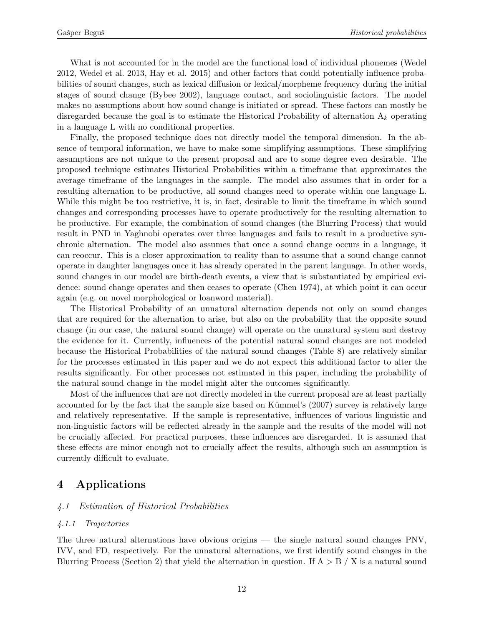What is not accounted for in the model are the functional load of individual phonemes (Wedel 2012, Wedel et al. 2013, Hay et al. 2015) and other factors that could potentially influence probabilities of sound changes, such as lexical diffusion or lexical/morpheme frequency during the initial stages of sound change (Bybee 2002), language contact, and sociolinguistic factors. The model makes no assumptions about how sound change is initiated or spread. These factors can mostly be disregarded because the goal is to estimate the Historical Probability of alternation  $A_k$  operating in a language L with no conditional properties.

Finally, the proposed technique does not directly model the temporal dimension. In the absence of temporal information, we have to make some simplifying assumptions. These simplifying assumptions are not unique to the present proposal and are to some degree even desirable. The proposed technique estimates Historical Probabilities within a timeframe that approximates the average timeframe of the languages in the sample. The model also assumes that in order for a resulting alternation to be productive, all sound changes need to operate within one language L. While this might be too restrictive, it is, in fact, desirable to limit the timeframe in which sound changes and corresponding processes have to operate productively for the resulting alternation to be productive. For example, the combination of sound changes (the Blurring Process) that would result in PND in Yaghnobi operates over three languages and fails to result in a productive synchronic alternation. The model also assumes that once a sound change occurs in a language, it can reoccur. This is a closer approximation to reality than to assume that a sound change cannot operate in daughter languages once it has already operated in the parent language. In other words, sound changes in our model are birth-death events, a view that is substantiated by empirical evidence: sound change operates and then ceases to operate (Chen 1974), at which point it can occur again (e.g. on novel morphological or loanword material).

The Historical Probability of an unnatural alternation depends not only on sound changes that are required for the alternation to arise, but also on the probability that the opposite sound change (in our case, the natural sound change) will operate on the unnatural system and destroy the evidence for it. Currently, influences of the potential natural sound changes are not modeled because the Historical Probabilities of the natural sound changes (Table [8\)](#page-19-1) are relatively similar for the processes estimated in this paper and we do not expect this additional factor to alter the results significantly. For other processes not estimated in this paper, including the probability of the natural sound change in the model might alter the outcomes significantly.

Most of the influences that are not directly modeled in the current proposal are at least partially accounted for by the fact that the sample size based on Kümmel's (2007) survey is relatively large and relatively representative. If the sample is representative, influences of various linguistic and non-linguistic factors will be reflected already in the sample and the results of the model will not be crucially affected. For practical purposes, these influences are disregarded. It is assumed that these effects are minor enough not to crucially affect the results, although such an assumption is currently difficult to evaluate.

## <span id="page-11-1"></span>4 Applications

### <span id="page-11-0"></span>4.1 Estimation of Historical Probabilities

### 4.1.1 Trajectories

The three natural alternations have obvious origins — the single natural sound changes PNV, IVV, and FD, respectively. For the unnatural alternations, we first identify sound changes in the Blurring Process (Section [2\)](#page-4-0) that yield the alternation in question. If  $A > B / X$  is a natural sound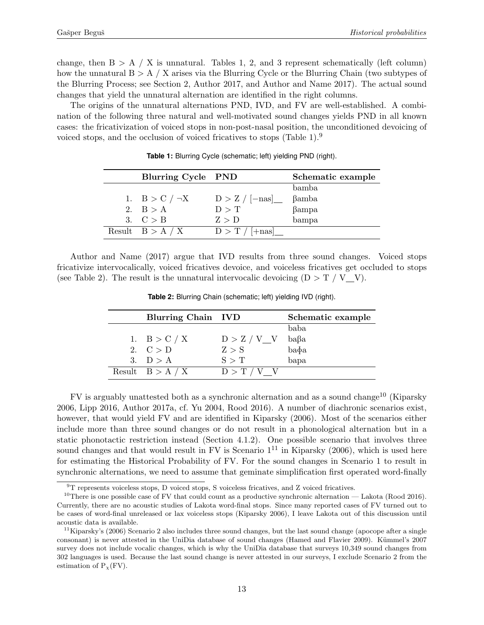change, then  $B > A / X$  is unnatural. Tables [1,](#page-12-0) [2,](#page-12-1) and [3](#page-13-2) represent schematically (left column) how the unnatural  $B > A / X$  arises via the Blurring Cycle or the Blurring Chain (two subtypes of the Blurring Process; see Section [2,](#page-4-0) Author 2017, and Author and Name 2017). The actual sound changes that yield the unnatural alternation are identified in the right columns.

<span id="page-12-0"></span>The origins of the unnatural alternations PND, IVD, and FV are well-established. A combination of the following three natural and well-motivated sound changes yields PND in all known cases: the fricativization of voiced stops in non-post-nasal position, the unconditioned devoicing of voiced stops, and the occlusion of voiced fricatives to stops (Table [1\)](#page-12-0).[9](#page-12-2)

| Blurring Cycle PND  |                         | Schematic example |
|---------------------|-------------------------|-------------------|
|                     |                         | bamba             |
| 1. $B > C / \neg X$ | $D > Z / [-nas]$        | $\beta$ amba      |
| 2. $B > A$          | D > T                   | $\beta$ ampa      |
| 3. $C > B$          | Z > D                   | bampa             |
| Result $B > A / X$  | $D > T / (+\text{nas})$ |                   |

**Table 1:** Blurring Cycle (schematic; left) yielding PND (right).

<span id="page-12-1"></span>Author and Name (2017) argue that IVD results from three sound changes. Voiced stops fricativize intervocalically, voiced fricatives devoice, and voiceless fricatives get occluded to stops (see Table [2\)](#page-12-1). The result is the unnatural intervocalic devoicing  $(D > T / V V)$ .

| Blurring Chain IVD |               | Schematic example |
|--------------------|---------------|-------------------|
|                    |               | baba              |
| 1. $B > C / X$     | $D > Z / V$ V | $ba\beta a$       |
| 2. $C > D$         | Z > S         | $ba\ddot{\phi}a$  |
| 3. $D > A$         | S > T         | bapa              |
| Result $B > A / X$ | $D > T / V$ V |                   |

**Table 2:** Blurring Chain (schematic; left) yielding IVD (right).

FV is arguably unattested both as a synchronic alternation and as a sound change[10](#page-12-3) (Kiparsky 2006, Lipp 2016, Author 2017a, cf. Yu 2004, Rood 2016). A number of diachronic scenarios exist, however, that would yield FV and are identified in Kiparsky (2006). Most of the scenarios either include more than three sound changes or do not result in a phonological alternation but in a static phonotactic restriction instead (Section [4.1.2\)](#page-13-1). One possible scenario that involves three sound changes and that would result in FV is Scenario  $1<sup>11</sup>$  $1<sup>11</sup>$  $1<sup>11</sup>$  in Kiparsky (2006), which is used here for estimating the Historical Probability of FV. For the sound changes in Scenario 1 to result in synchronic alternations, we need to assume that geminate simplification first operated word-finally

<span id="page-12-3"></span><span id="page-12-2"></span> $^9\rm{T}$  represents voiceless stops, D voiced stops, S voiceless fricatives, and Z voiced fricatives.

<sup>&</sup>lt;sup>10</sup>There is one possible case of FV that could count as a productive synchronic alternation — Lakota (Rood 2016). Currently, there are no acoustic studies of Lakota word-final stops. Since many reported cases of FV turned out to be cases of word-final unreleased or lax voiceless stops (Kiparsky 2006), I leave Lakota out of this discussion until acoustic data is available.

<span id="page-12-4"></span><sup>&</sup>lt;sup>11</sup>Kiparsky's (2006) Scenario 2 also includes three sound changes, but the last sound change (apocope after a single consonant) is never attested in the UniDia database of sound changes (Hamed and Flavier 2009). Kümmel's 2007 survey does not include vocalic changes, which is why the UniDia database that surveys 10,349 sound changes from 302 languages is used. Because the last sound change is never attested in our surveys, I exclude Scenario 2 from the estimation of  $P_Y$ (FV).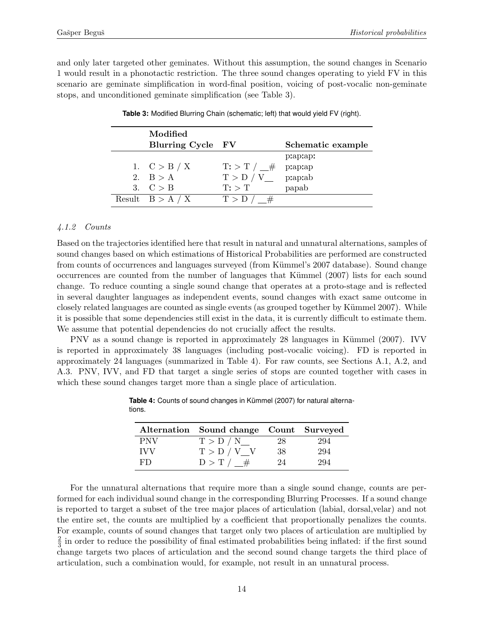<span id="page-13-2"></span>and only later targeted other geminates. Without this assumption, the sound changes in Scenario 1 would result in a phonotactic restriction. The three sound changes operating to yield FV in this scenario are geminate simplification in word-final position, voicing of post-vocalic non-geminate stops, and unconditioned geminate simplification (see Table [3\)](#page-13-2).

| Modified           |                           |                   |
|--------------------|---------------------------|-------------------|
| Blurring Cycle FV  |                           | Schematic example |
|                    |                           | praprapr          |
| 1. $C > B / X$     | $T:$ > T $/$ $\#$ praprap |                   |
| 2. $B > A$         | $T > D / V$ praprab       |                   |
| 3. $C > B$         | $T:$ $\top$               | papab             |
| Result $B > A / X$ | T > D / #                 |                   |
|                    |                           |                   |

**Table 3:** Modified Blurring Chain (schematic; left) that would yield FV (right).

### <span id="page-13-1"></span>4.1.2 Counts

Based on the trajectories identified here that result in natural and unnatural alternations, samples of sound changes based on which estimations of Historical Probabilities are performed are constructed from counts of occurrences and languages surveyed (from Kümmel's 2007 database). Sound change occurrences are counted from the number of languages that Kümmel (2007) lists for each sound change. To reduce counting a single sound change that operates at a proto-stage and is reflected in several daughter languages as independent events, sound changes with exact same outcome in closely related languages are counted as single events (as grouped together by Kümmel 2007). While it is possible that some dependencies still exist in the data, it is currently difficult to estimate them. We assume that potential dependencies do not crucially affect the results.

<span id="page-13-0"></span>PNV as a sound change is reported in approximately 28 languages in Kümmel (2007). IVV is reported in approximately 38 languages (including post-vocalic voicing). FD is reported in approximately 24 languages (summarized in Table [4\)](#page-13-0). For raw counts, see Sections [A.1,](#page-30-1) [A.2,](#page-30-2) and [A.3.](#page-30-3) PNV, IVV, and FD that target a single series of stops are counted together with cases in which these sound changes target more than a single place of articulation.

|            | Alternation Sound change Count Surveyed |    |     |
|------------|-----------------------------------------|----|-----|
| <b>PNV</b> | T > D / N                               | 28 | 294 |
| <b>IVV</b> | $T > D / V$ V                           | 38 | 294 |
| F.I.)      | D > T / #                               | 94 |     |

Table 4: Counts of sound changes in Kümmel (2007) for natural alternations.

For the unnatural alternations that require more than a single sound change, counts are performed for each individual sound change in the corresponding Blurring Processes. If a sound change is reported to target a subset of the tree major places of articulation (labial, dorsal,velar) and not the entire set, the counts are multiplied by a coefficient that proportionally penalizes the counts. For example, counts of sound changes that target only two places of articulation are multiplied by 2  $\frac{2}{3}$  in order to reduce the possibility of final estimated probabilities being inflated: if the first sound change targets two places of articulation and the second sound change targets the third place of articulation, such a combination would, for example, not result in an unnatural process.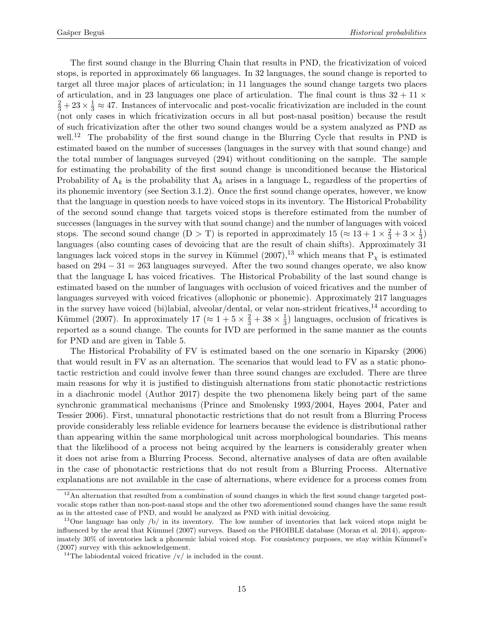The first sound change in the Blurring Chain that results in PND, the fricativization of voiced stops, is reported in approximately 66 languages. In 32 languages, the sound change is reported to target all three major places of articulation; in 11 languages the sound change targets two places of articulation, and in 23 languages one place of articulation. The final count is thus  $32 + 11 \times$  $\frac{2}{3} + 23 \times \frac{1}{3} \approx 47$ . Instances of intervocalic and post-vocalic fricativization are included in the count (not only cases in which fricativization occurs in all but post-nasal position) because the result of such fricativization after the other two sound changes would be a system analyzed as PND as well.<sup>[12](#page-14-0)</sup> The probability of the first sound change in the Blurring Cycle that results in PND is estimated based on the number of successes (languages in the survey with that sound change) and the total number of languages surveyed (294) without conditioning on the sample. The sample for estimating the probability of the first sound change is unconditioned because the Historical Probability of  $A_k$  is the probability that  $A_k$  arises in a language L, regardless of the properties of its phonemic inventory (see Section [3.1.2\)](#page-6-3). Once the first sound change operates, however, we know that the language in question needs to have voiced stops in its inventory. The Historical Probability of the second sound change that targets voiced stops is therefore estimated from the number of successes (languages in the survey with that sound change) and the number of languages with voiced stops. The second sound change  $(D > T)$  is reported in approximately  $15 (\approx 13 + 1 \times \frac{2}{3} + 3 \times \frac{1}{3})$  $(\frac{1}{3})$ languages (also counting cases of devoicing that are the result of chain shifts). Approximately 31 languages lack voiced stops in the survey in Kümmel  $(2007)$ ,<sup>[13](#page-14-1)</sup> which means that P<sub>x</sub> is estimated based on  $294 - 31 = 263$  languages surveyed. After the two sound changes operate, we also know that the language L has voiced fricatives. The Historical Probability of the last sound change is estimated based on the number of languages with occlusion of voiced fricatives and the number of languages surveyed with voiced fricatives (allophonic or phonemic). Approximately 217 languages in the survey have voiced (bi)labial, alveolar/dental, or velar non-strident fricatives, $14$  according to Kümmel (2007). In approximately  $17 \approx 1 + 5 \times \frac{2}{3} + 38 \times \frac{1}{3}$  $\frac{1}{3}$ ) languages, occlusion of fricatives is reported as a sound change. The counts for IVD are performed in the same manner as the counts for PND and are given in Table [5.](#page-16-0)

The Historical Probability of FV is estimated based on the one scenario in Kiparsky (2006) that would result in FV as an alternation. The scenarios that would lead to FV as a static phonotactic restriction and could involve fewer than three sound changes are excluded. There are three main reasons for why it is justified to distinguish alternations from static phonotactic restrictions in a diachronic model (Author 2017) despite the two phenomena likely being part of the same synchronic grammatical mechanisms (Prince and Smolensky 1993/2004, Hayes 2004, Pater and Tessier 2006). First, unnatural phonotactic restrictions that do not result from a Blurring Process provide considerably less reliable evidence for learners because the evidence is distributional rather than appearing within the same morphological unit across morphological boundaries. This means that the likelihood of a process not being acquired by the learners is considerably greater when it does not arise from a Blurring Process. Second, alternative analyses of data are often available in the case of phonotactic restrictions that do not result from a Blurring Process. Alternative explanations are not available in the case of alternations, where evidence for a process comes from

<span id="page-14-0"></span> $12$ An alternation that resulted from a combination of sound changes in which the first sound change targeted postvocalic stops rather than non-post-nasal stops and the other two aforementioned sound changes have the same result as in the attested case of PND, and would be analyzed as PND with initial devoicing.

<span id="page-14-1"></span><sup>&</sup>lt;sup>13</sup>One language has only  $\frac{1}{2}$  in its inventory. The low number of inventories that lack voiced stops might be influenced by the areal that Kümmel (2007) surveys. Based on the PHOIBLE database (Moran et al. 2014), approximately 30% of inventories lack a phonemic labial voiced stop. For consistency purposes, we stay within Kümmel's (2007) survey with this acknowledgement.

<span id="page-14-2"></span><sup>&</sup>lt;sup>14</sup>The labiodental voiced fricative  $\sqrt{v}$  is included in the count.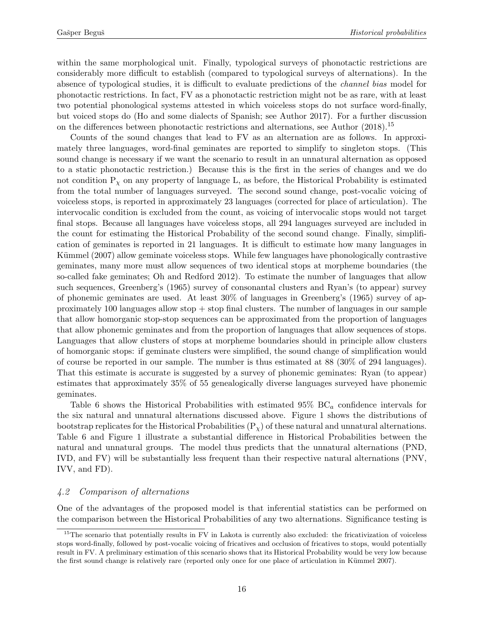within the same morphological unit. Finally, typological surveys of phonotactic restrictions are considerably more difficult to establish (compared to typological surveys of alternations). In the absence of typological studies, it is difficult to evaluate predictions of the channel bias model for phonotactic restrictions. In fact, FV as a phonotactic restriction might not be as rare, with at least two potential phonological systems attested in which voiceless stops do not surface word-finally, but voiced stops do (Ho and some dialects of Spanish; see Author 2017). For a further discussion on the differences between phonotactic restrictions and alternations, see Author (2018).[15](#page-15-1)

Counts of the sound changes that lead to FV as an alternation are as follows. In approximately three languages, word-final geminates are reported to simplify to singleton stops. (This sound change is necessary if we want the scenario to result in an unnatural alternation as opposed to a static phonotactic restriction.) Because this is the first in the series of changes and we do not condition  $P<sub>x</sub>$  on any property of language L, as before, the Historical Probability is estimated from the total number of languages surveyed. The second sound change, post-vocalic voicing of voiceless stops, is reported in approximately 23 languages (corrected for place of articulation). The intervocalic condition is excluded from the count, as voicing of intervocalic stops would not target final stops. Because all languages have voiceless stops, all 294 languages surveyed are included in the count for estimating the Historical Probability of the second sound change. Finally, simplification of geminates is reported in 21 languages. It is difficult to estimate how many languages in Kümmel (2007) allow geminate voiceless stops. While few languages have phonologically contrastive geminates, many more must allow sequences of two identical stops at morpheme boundaries (the so-called fake geminates; Oh and Redford 2012). To estimate the number of languages that allow such sequences, Greenberg's (1965) survey of consonantal clusters and Ryan's (to appear) survey of phonemic geminates are used. At least 30% of languages in Greenberg's (1965) survey of approximately 100 languages allow stop  $+$  stop final clusters. The number of languages in our sample that allow homorganic stop-stop sequences can be approximated from the proportion of languages that allow phonemic geminates and from the proportion of languages that allow sequences of stops. Languages that allow clusters of stops at morpheme boundaries should in principle allow clusters of homorganic stops: if geminate clusters were simplified, the sound change of simplification would of course be reported in our sample. The number is thus estimated at 88 (30% of 294 languages). That this estimate is accurate is suggested by a survey of phonemic geminates: Ryan (to appear) estimates that approximately 35% of 55 genealogically diverse languages surveyed have phonemic geminates.

Table [6](#page-16-1) shows the Historical Probabilities with estimated  $95\%$  BC<sub>a</sub> confidence intervals for the six natural and unnatural alternations discussed above. Figure [1](#page-16-2) shows the distributions of bootstrap replicates for the Historical Probabilities  $(P<sub>x</sub>)$  of these natural and unnatural alternations. Table [6](#page-16-1) and Figure [1](#page-16-2) illustrate a substantial difference in Historical Probabilities between the natural and unnatural groups. The model thus predicts that the unnatural alternations (PND, IVD, and FV) will be substantially less frequent than their respective natural alternations (PNV, IVV, and FD).

## <span id="page-15-0"></span>4.2 Comparison of alternations

One of the advantages of the proposed model is that inferential statistics can be performed on the comparison between the Historical Probabilities of any two alternations. Significance testing is

<span id="page-15-1"></span><sup>&</sup>lt;sup>15</sup>The scenario that potentially results in FV in Lakota is currently also excluded: the fricativization of voiceless stops word-finally, followed by post-vocalic voicing of fricatives and occlusion of fricatives to stops, would potentially result in FV. A preliminary estimation of this scenario shows that its Historical Probability would be very low because the first sound change is relatively rare (reported only once for one place of articulation in Kümmel 2007).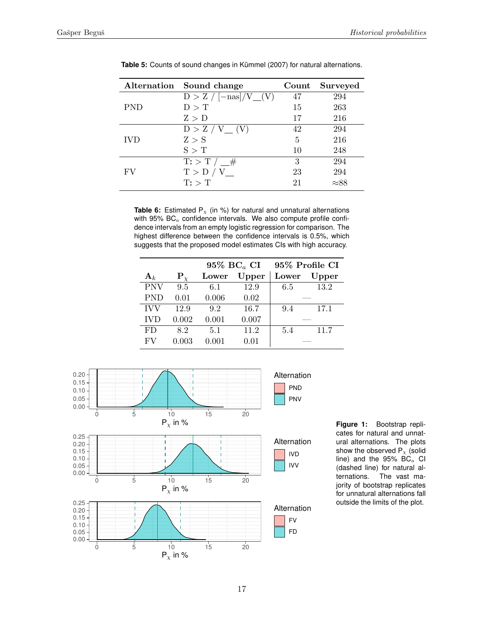|            | Alternation Sound change        | Count | Surveyed     |
|------------|---------------------------------|-------|--------------|
|            | $D > Z / [-\text{nas}] / V (V)$ | 47    | 294          |
| PND        | D > T                           | 15    | 263          |
|            | Z > D                           | 17    | 216          |
|            | $D > Z / V$ (V)                 | 42    | 294          |
| <b>IVD</b> | Z > S                           | 5     | 216          |
|            | S > T                           | 10    | 248          |
|            | $\mathrm{T}$ : > T / $\_\#$     | 3     | 294          |
| FV         | T > D / V                       | 23    | 294          |
|            | $T:$ $\top$                     | 21    | $\approx 88$ |

<span id="page-16-0"></span>Table 5: Counts of sound changes in Kümmel (2007) for natural alternations.

<span id="page-16-1"></span>**Table 6:** Estimated  $P_x$  (in %) for natural and unnatural alternations with 95%  $BC<sub>a</sub>$  confidence intervals. We also compute profile confidence intervals from an empty logistic regression for comparison. The highest difference between the confidence intervals is 0.5%, which suggests that the proposed model estimates CIs with high accuracy.

|                |                  | $95\%$ BC <sub>a</sub> CI |             | 95% Profile CI |       |  |
|----------------|------------------|---------------------------|-------------|----------------|-------|--|
| $\mathbf{A}_k$ | ${\bf P}_{\chi}$ | Lower                     | Upper       |                | Upper |  |
| <b>PNV</b>     | 9.5              | 6.1                       | 12.9        | 6.5            | 13.2  |  |
| <b>PND</b>     | 0.01             | 0.006                     | 0.02        |                |       |  |
| <b>IVV</b>     | 12.9             | 9.2                       | 16.7<br>9.4 |                | 17.1  |  |
| <b>IVD</b>     | 0.002            | 0.001                     | 0.007       |                |       |  |
| FD.            | 8.2              | 5.1                       | 11.2        | 5.4            | 11.7  |  |
| FV             | 0.003            | 0.001                     | 0.01        |                |       |  |

<span id="page-16-2"></span>

**Figure 1:** Bootstrap replicates for natural and unnatural alternations. The plots show the observed  $P_{\chi}$  (solid line) and the  $95\%$  BC<sub>a</sub> CI (dashed line) for natural alternations. The vast majority of bootstrap replicates for unnatural alternations fall outside the limits of the plot.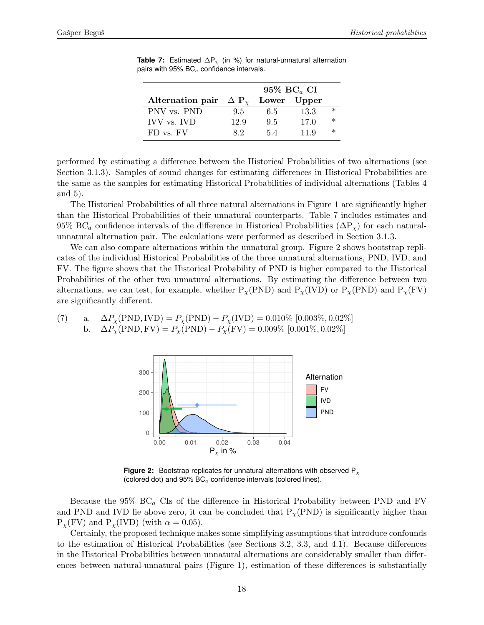|                                      | $95\%$ BC <sub>a</sub> CI |      |             |  |  |
|--------------------------------------|---------------------------|------|-------------|--|--|
| Alternation pair $\Delta P_{\gamma}$ |                           |      |             |  |  |
| 9.5                                  | 6.5                       | 13.3 | $\ast$      |  |  |
| 12.9                                 | 9.5                       | 17.0 | $\ast$      |  |  |
| 82                                   | 54                        | 11.9 | $\ast$      |  |  |
|                                      |                           |      | Lower Upper |  |  |

<span id="page-17-0"></span>**Table 7:** Estimated  $\Delta P_{\chi}$  (in %) for natural-unnatural alternation pairs with 95%  $BC<sub>a</sub>$  confidence intervals.

performed by estimating a difference between the Historical Probabilities of two alternations (see Section [3.1.3\)](#page-8-1). Samples of sound changes for estimating differences in Historical Probabilities are the same as the samples for estimating Historical Probabilities of individual alternations (Tables [4](#page-13-0) and [5\)](#page-16-0).

The Historical Probabilities of all three natural alternations in Figure [1](#page-16-2) are significantly higher than the Historical Probabilities of their unnatural counterparts. Table [7](#page-17-0) includes estimates and 95% BC<sub>a</sub> confidence intervals of the difference in Historical Probabilities ( $\Delta P_{\gamma}$ ) for each naturalunnatural alternation pair. The calculations were performed as described in Section [3.1.3.](#page-8-1)

We can also compare alternations within the unnatural group. Figure [2](#page-17-1) shows bootstrap replicates of the individual Historical Probabilities of the three unnatural alternations, PND, IVD, and FV. The figure shows that the Historical Probability of PND is higher compared to the Historical Probabilities of the other two unnatural alternations. By estimating the difference between two alternations, we can test, for example, whether  $P_{\chi}(PND)$  and  $P_{\chi}(IVD)$  or  $P_{\chi}(PND)$  and  $P_{\chi}(FV)$ are significantly different.

<span id="page-17-2"></span><span id="page-17-1"></span>(7) a.  $\Delta P_{\chi}(\text{PND}, \text{IVD}) = P_{\chi}(\text{PND}) - P_{\chi}(\text{IVD}) = 0.010\%$  [0.003\%, 0.02\%] b.  $\Delta P_{\chi}(\text{PND}, \text{FV}) = P_{\chi}(\text{PND}) - P_{\chi}(\text{FV}) = 0.009\%$  [0.001\%, 0.02\%]



**Figure 2:** Bootstrap replicates for unnatural alternations with observed P<sub>x</sub> (colored dot) and  $95\%$  BC<sub>a</sub> confidence intervals (colored lines).

Because the  $95\%$  BC<sub>a</sub> CIs of the difference in Historical Probability between PND and FV and PND and IVD lie above zero, it can be concluded that  $P_\chi(PND)$  is significantly higher than  $P_{\chi}$ (FV) and  $P_{\chi}$ (IVD) (with  $\alpha = 0.05$ ).

Certainly, the proposed technique makes some simplifying assumptions that introduce confounds to the estimation of Historical Probabilities (see Sections [3.2,](#page-8-0) [3.3,](#page-9-0) and [4.1\)](#page-11-0). Because differences in the Historical Probabilities between unnatural alternations are considerably smaller than differences between natural-unnatural pairs (Figure [1\)](#page-16-2), estimation of these differences is substantially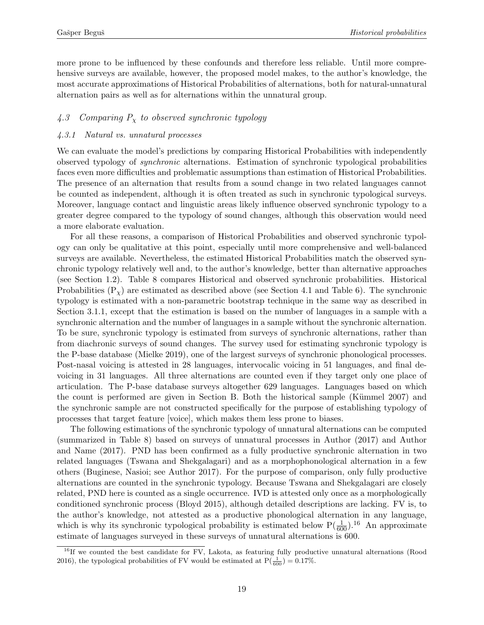more prone to be influenced by these confounds and therefore less reliable. Until more comprehensive surveys are available, however, the proposed model makes, to the author's knowledge, the most accurate approximations of Historical Probabilities of alternations, both for natural-unnatural alternation pairs as well as for alternations within the unnatural group.

### <span id="page-18-0"></span>4.3 Comparing  $P_x$  to observed synchronic typology

### <span id="page-18-2"></span>4.3.1 Natural vs. unnatural processes

We can evaluate the model's predictions by comparing Historical Probabilities with independently observed typology of synchronic alternations. Estimation of synchronic typological probabilities faces even more difficulties and problematic assumptions than estimation of Historical Probabilities. The presence of an alternation that results from a sound change in two related languages cannot be counted as independent, although it is often treated as such in synchronic typological surveys. Moreover, language contact and linguistic areas likely influence observed synchronic typology to a greater degree compared to the typology of sound changes, although this observation would need a more elaborate evaluation.

For all these reasons, a comparison of Historical Probabilities and observed synchronic typology can only be qualitative at this point, especially until more comprehensive and well-balanced surveys are available. Nevertheless, the estimated Historical Probabilities match the observed synchronic typology relatively well and, to the author's knowledge, better than alternative approaches (see Section [1.2\)](#page-2-0). Table [8](#page-19-1) compares Historical and observed synchronic probabilities. Historical Probabilities  $(P<sub>x</sub>)$  are estimated as described above (see Section [4.1](#page-11-0) and Table [6\)](#page-16-1). The synchronic typology is estimated with a non-parametric bootstrap technique in the same way as described in Section [3.1.1,](#page-6-2) except that the estimation is based on the number of languages in a sample with a synchronic alternation and the number of languages in a sample without the synchronic alternation. To be sure, synchronic typology is estimated from surveys of synchronic alternations, rather than from diachronic surveys of sound changes. The survey used for estimating synchronic typology is the P-base database (Mielke 2019), one of the largest surveys of synchronic phonological processes. Post-nasal voicing is attested in 28 languages, intervocalic voicing in 51 languages, and final devoicing in 31 languages. All three alternations are counted even if they target only one place of articulation. The P-base database surveys altogether 629 languages. Languages based on which the count is performed are given in Section [B.](#page-32-0) Both the historical sample (Kümmel  $2007$ ) and the synchronic sample are not constructed specifically for the purpose of establishing typology of processes that target feature [voice], which makes them less prone to biases.

The following estimations of the synchronic typology of unnatural alternations can be computed (summarized in Table [8\)](#page-19-1) based on surveys of unnatural processes in Author (2017) and Author and Name (2017). PND has been confirmed as a fully productive synchronic alternation in two related languages (Tswana and Shekgalagari) and as a morphophonological alternation in a few others (Buginese, Nasioi; see Author 2017). For the purpose of comparison, only fully productive alternations are counted in the synchronic typology. Because Tswana and Shekgalagari are closely related, PND here is counted as a single occurrence. IVD is attested only once as a morphologically conditioned synchronic process (Bloyd 2015), although detailed descriptions are lacking. FV is, to the author's knowledge, not attested as a productive phonological alternation in any language, which is why its synchronic typological probability is estimated below  $P(\frac{1}{600})$ .<sup>[16](#page-18-1)</sup> An approximate estimate of languages surveyed in these surveys of unnatural alternations is 600.

<span id="page-18-1"></span><sup>&</sup>lt;sup>16</sup>If we counted the best candidate for FV, Lakota, as featuring fully productive unnatural alternations (Rood 2016), the typological probabilities of FV would be estimated at  $P(\frac{1}{600}) = 0.17\%$ .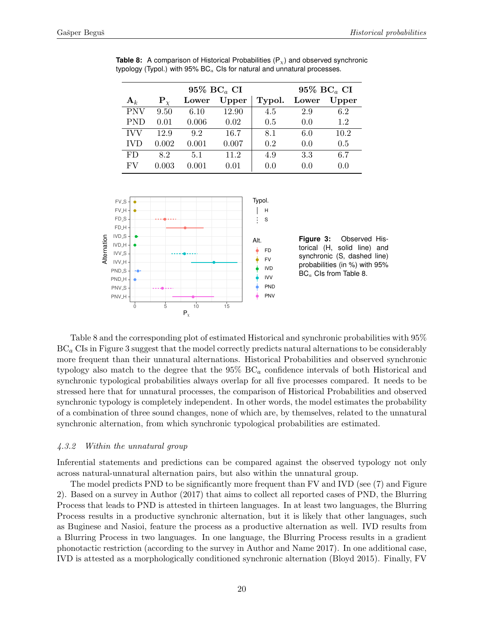| $95\%$ BC <sub>a</sub> CI |                  |       |       |        | 95% $BC_a$ CI |       |  |
|---------------------------|------------------|-------|-------|--------|---------------|-------|--|
| ${\bf A}_k$               | ${\bf P}_{\chi}$ | Lower | Upper | Typol. | Lower         | Upper |  |
| <b>PNV</b>                | 9.50             | 6.10  | 12.90 | 4.5    | 2.9           | 6.2   |  |
| <b>PND</b>                | 0.01             | 0.006 | 0.02  | 0.5    | 0.0           | 1.2   |  |
| <b>IVV</b>                | 12.9             | 9.2   | 16.7  | 8.1    | 6.0           | 10.2  |  |
| <b>IVD</b>                | 0.002            | 0.001 | 0.007 | 0.2    | 0.0           | 0.5   |  |
| FD                        | 8.2              | 5.1   | 11.2  | 4.9    | 3.3           | 6.7   |  |
| FV                        | 0.003            | 0.001 | 0.01  | 0.0    | 0.0           | 0.0   |  |

<span id="page-19-1"></span>**Table 8:** A comparison of Historical Probabilities  $(P_x)$  and observed synchronic typology (Typol.) with  $95\%$  BC $_{a}$  CIs for natural and unnatural processes.

<span id="page-19-0"></span>

Table [8](#page-19-1) and the corresponding plot of estimated Historical and synchronic probabilities with 95%  $BC_a$  CIs in Figure [3](#page-19-0) suggest that the model correctly predicts natural alternations to be considerably more frequent than their unnatural alternations. Historical Probabilities and observed synchronic typology also match to the degree that the  $95\%$  BC<sub>a</sub> confidence intervals of both Historical and synchronic typological probabilities always overlap for all five processes compared. It needs to be stressed here that for unnatural processes, the comparison of Historical Probabilities and observed synchronic typology is completely independent. In other words, the model estimates the probability of a combination of three sound changes, none of which are, by themselves, related to the unnatural synchronic alternation, from which synchronic typological probabilities are estimated.

### 4.3.2 Within the unnatural group

Inferential statements and predictions can be compared against the observed typology not only across natural-unnatural alternation pairs, but also within the unnatural group.

The model predicts PND to be significantly more frequent than FV and IVD (see [\(7\)](#page-17-2) and Figure [2\)](#page-17-1). Based on a survey in Author (2017) that aims to collect all reported cases of PND, the Blurring Process that leads to PND is attested in thirteen languages. In at least two languages, the Blurring Process results in a productive synchronic alternation, but it is likely that other languages, such as Buginese and Nasioi, feature the process as a productive alternation as well. IVD results from a Blurring Process in two languages. In one language, the Blurring Process results in a gradient phonotactic restriction (according to the survey in Author and Name 2017). In one additional case, IVD is attested as a morphologically conditioned synchronic alternation (Bloyd 2015). Finally, FV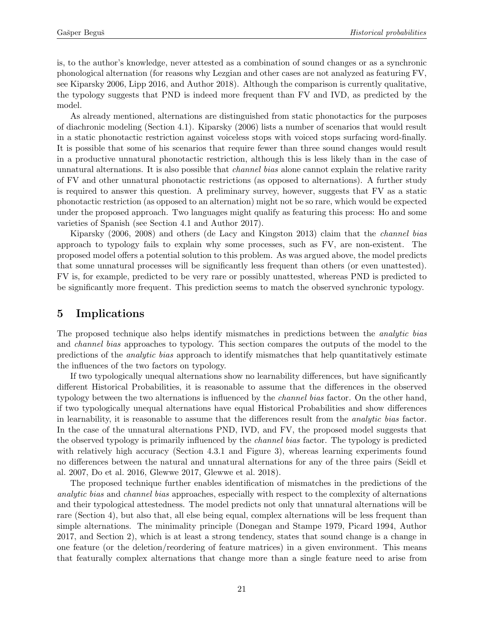is, to the author's knowledge, never attested as a combination of sound changes or as a synchronic phonological alternation (for reasons why Lezgian and other cases are not analyzed as featuring FV, see Kiparsky 2006, Lipp 2016, and Author 2018). Although the comparison is currently qualitative, the typology suggests that PND is indeed more frequent than FV and IVD, as predicted by the model.

As already mentioned, alternations are distinguished from static phonotactics for the purposes of diachronic modeling (Section [4.1\)](#page-11-0). Kiparsky (2006) lists a number of scenarios that would result in a static phonotactic restriction against voiceless stops with voiced stops surfacing word-finally. It is possible that some of his scenarios that require fewer than three sound changes would result in a productive unnatural phonotactic restriction, although this is less likely than in the case of unnatural alternations. It is also possible that *channel bias* alone cannot explain the relative rarity of FV and other unnatural phonotactic restrictions (as opposed to alternations). A further study is required to answer this question. A preliminary survey, however, suggests that FV as a static phonotactic restriction (as opposed to an alternation) might not be so rare, which would be expected under the proposed approach. Two languages might qualify as featuring this process: Ho and some varieties of Spanish (see Section [4.1](#page-11-0) and Author 2017).

Kiparsky (2006, 2008) and others (de Lacy and Kingston 2013) claim that the channel bias approach to typology fails to explain why some processes, such as FV, are non-existent. The proposed model offers a potential solution to this problem. As was argued above, the model predicts that some unnatural processes will be significantly less frequent than others (or even unattested). FV is, for example, predicted to be very rare or possibly unattested, whereas PND is predicted to be significantly more frequent. This prediction seems to match the observed synchronic typology.

## <span id="page-20-0"></span>5 Implications

The proposed technique also helps identify mismatches in predictions between the analytic bias and channel bias approaches to typology. This section compares the outputs of the model to the predictions of the analytic bias approach to identify mismatches that help quantitatively estimate the influences of the two factors on typology.

If two typologically unequal alternations show no learnability differences, but have significantly different Historical Probabilities, it is reasonable to assume that the differences in the observed typology between the two alternations is influenced by the *channel bias* factor. On the other hand, if two typologically unequal alternations have equal Historical Probabilities and show differences in learnability, it is reasonable to assume that the differences result from the analytic bias factor. In the case of the unnatural alternations PND, IVD, and FV, the proposed model suggests that the observed typology is primarily influenced by the channel bias factor. The typology is predicted with relatively high accuracy (Section [4.3.1](#page-18-2) and Figure [3\)](#page-19-0), whereas learning experiments found no differences between the natural and unnatural alternations for any of the three pairs (Seidl et al. 2007, Do et al. 2016, Glewwe 2017, Glewwe et al. 2018).

The proposed technique further enables identification of mismatches in the predictions of the analytic bias and channel bias approaches, especially with respect to the complexity of alternations and their typological attestedness. The model predicts not only that unnatural alternations will be rare (Section [4\)](#page-11-1), but also that, all else being equal, complex alternations will be less frequent than simple alternations. The minimality principle (Donegan and Stampe 1979, Picard 1994, Author 2017, and Section [2\)](#page-4-0), which is at least a strong tendency, states that sound change is a change in one feature (or the deletion/reordering of feature matrices) in a given environment. This means that featurally complex alternations that change more than a single feature need to arise from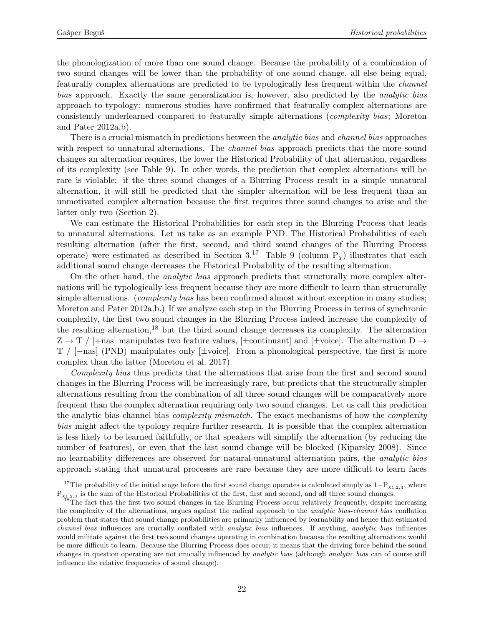the phonologization of more than one sound change. Because the probability of a combination of two sound changes will be lower than the probability of one sound change, all else being equal, featurally complex alternations are predicted to be typologically less frequent within the channel bias approach. Exactly the same generalization is, however, also predicted by the analytic bias approach to typology: numerous studies have confirmed that featurally complex alternations are consistently underlearned compared to featurally simple alternations (complexity bias; Moreton and Pater 2012a,b).

There is a crucial mismatch in predictions between the *analytic bias* and *channel bias* approaches with respect to unnatural alternations. The *channel bias* approach predicts that the more sound changes an alternation requires, the lower the Historical Probability of that alternation, regardless of its complexity (see Table [9\)](#page-22-0). In other words, the prediction that complex alternations will be rare is violable: if the three sound changes of a Blurring Process result in a simple unnatural alternation, it will still be predicted that the simpler alternation will be less frequent than an unmotivated complex alternation because the first requires three sound changes to arise and the latter only two (Section [2\)](#page-4-0).

We can estimate the Historical Probabilities for each step in the Blurring Process that leads to unnatural alternations. Let us take as an example PND. The Historical Probabilities of each resulting alternation (after the first, second, and third sound changes of the Blurring Process operate) were estimated as described in Section  $3.^{17}$  $3.^{17}$  $3.^{17}$  Table [9](#page-22-0) (column P<sub>x</sub>) illustrates that each additional sound change decreases the Historical Probability of the resulting alternation.

On the other hand, the analytic bias approach predicts that structurally more complex alternations will be typologically less frequent because they are more difficult to learn than structurally simple alternations. (*complexity bias* has been confirmed almost without exception in many studies; Moreton and Pater 2012a,b.) If we analyze each step in the Blurring Process in terms of synchronic complexity, the first two sound changes in the Blurring Process indeed increase the complexity of the resulting alternation, $18$  but the third sound change decreases its complexity. The alternation  $Z \rightarrow T$  / [+nas] manipulates two feature values, [ $\pm$ continuant] and [ $\pm$ voice]. The alternation D  $\rightarrow$ T / [−nas] (PND) manipulates only [±voice]. From a phonological perspective, the first is more complex than the latter (Moreton et al. 2017).

Complexity bias thus predicts that the alternations that arise from the first and second sound changes in the Blurring Process will be increasingly rare, but predicts that the structurally simpler alternations resulting from the combination of all three sound changes will be comparatively more frequent than the complex alternation requiring only two sound changes. Let us call this prediction the analytic bias-channel bias *complexity mismatch*. The exact mechanisms of how the *complexity* bias might affect the typology require further research. It is possible that the complex alternation is less likely to be learned faithfully, or that speakers will simplify the alternation (by reducing the number of features), or even that the last sound change will be blocked (Kiparsky 2008). Since no learnability differences are observed for natural-unnatural alternation pairs, the analytic bias approach stating that unnatural processes are rare because they are more difficult to learn faces

<span id="page-21-0"></span><sup>&</sup>lt;sup>17</sup>The probability of the initial stage before the first sound change operates is calculated simply as  $1-P_{\chi_{1,2,3}}$ , where  $P_{X_{1,2,3}}$  is the sum of the Historical Probabilities of the first, first and second, and all three sound changes.

<span id="page-21-1"></span><sup>&</sup>lt;sup>18</sup>The fact that the first two sound changes in the Blurring Process occur relatively frequently, despite increasing the complexity of the alternations, argues against the radical approach to the analytic bias-channel bias conflation problem that states that sound change probabilities are primarily influenced by learnability and hence that estimated channel bias influences are crucially conflated with analytic bias influences. If anything, analytic bias influences would militate against the first two sound changes operating in combination because the resulting alternations would be more difficult to learn. Because the Blurring Process does occur, it means that the driving force behind the sound changes in question operating are not crucially influenced by analytic bias (although analytic bias can of course still influence the relative frequencies of sound change).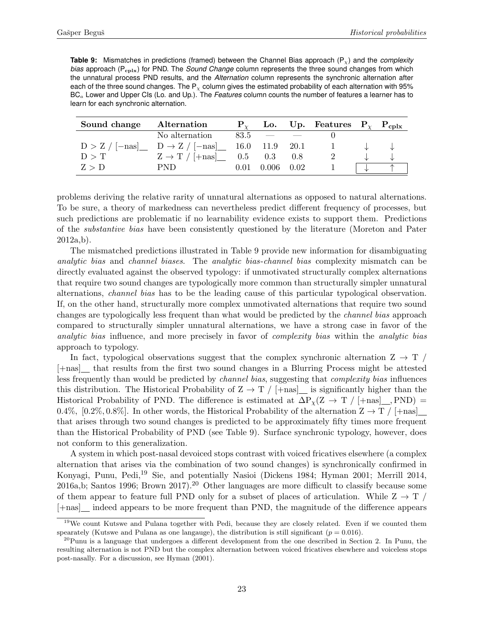<span id="page-22-0"></span>**Table 9:** Mismatches in predictions (framed) between the Channel Bias approach (P<sub>x</sub>) and the *complexity bias* approach (P<sub>cplx</sub>) for PND. The *Sound Change* column represents the three sound changes from which the unnatural process PND results, and the *Alternation* column represents the synchronic alternation after each of the three sound changes. The  $P<sub>x</sub>$  column gives the estimated probability of each alternation with 95% BC<sup>a</sup> Lower and Upper CIs (Lo. and Up.). The *Features* column counts the number of features a learner has to learn for each synchronic alternation.

| Sound change | Alternation                                                      |                       | Lo. Up. Features $P_{\chi}$ $P_{cplx}$ |  |
|--------------|------------------------------------------------------------------|-----------------------|----------------------------------------|--|
|              | No alternation                                                   | $83.5 = -$            |                                        |  |
|              | $D > Z / [-nas]$ $D \rightarrow Z / [-nas]$ $16.0$ $11.9$ $20.1$ |                       | $\mathbf{1}$                           |  |
| D > T        | $Z \rightarrow T / [+nas]$ 0.5 0.3 0.8                           |                       |                                        |  |
| Z > D        | PND.                                                             | $0.01$ $0.006$ $0.02$ |                                        |  |

problems deriving the relative rarity of unnatural alternations as opposed to natural alternations. To be sure, a theory of markedness can nevertheless predict different frequency of processes, but such predictions are problematic if no learnability evidence exists to support them. Predictions of the substantive bias have been consistently questioned by the literature (Moreton and Pater 2012a,b).

The mismatched predictions illustrated in Table [9](#page-22-0) provide new information for disambiguating analytic bias and channel biases. The analytic bias-channel bias complexity mismatch can be directly evaluated against the observed typology: if unmotivated structurally complex alternations that require two sound changes are typologically more common than structurally simpler unnatural alternations, channel bias has to be the leading cause of this particular typological observation. If, on the other hand, structurally more complex unmotivated alternations that require two sound changes are typologically less frequent than what would be predicted by the channel bias approach compared to structurally simpler unnatural alternations, we have a strong case in favor of the analytic bias influence, and more precisely in favor of complexity bias within the analytic bias approach to typology.

In fact, typological observations suggest that the complex synchronic alternation  $Z \rightarrow T$ [+nas] that results from the first two sound changes in a Blurring Process might be attested less frequently than would be predicted by channel bias, suggesting that complexity bias influences this distribution. The Historical Probability of  $Z \rightarrow T / (+\text{nas}]$  is significantly higher than the Historical Probability of PND. The difference is estimated at  $\Delta P_{\chi}(Z \to T / (+\text{nas} |_{R_1}, PND) =$ 0.4%, [0.2%, 0.8%]. In other words, the Historical Probability of the alternation  $Z \rightarrow T / +$ nas] that arises through two sound changes is predicted to be approximately fifty times more frequent than the Historical Probability of PND (see Table [9\)](#page-22-0). Surface synchronic typology, however, does not conform to this generalization.

A system in which post-nasal devoiced stops contrast with voiced fricatives elsewhere (a complex alternation that arises via the combination of two sound changes) is synchronically confirmed in Konyagi, Punu, Pedi,[19](#page-22-1) Sie, and potentially Nasioi (Dickens 1984; Hyman 2001; Merrill 2014, 2016a,b; Santos 1996; Brown 2017).[20](#page-22-2) Other languages are more difficult to classify because some of them appear to feature full PND only for a subset of places of articulation. While  $Z \rightarrow T$ [+nas] indeed appears to be more frequent than PND, the magnitude of the difference appears

<span id="page-22-1"></span><sup>&</sup>lt;sup>19</sup>We count Kutswe and Pulana together with Pedi, because they are closely related. Even if we counted them spearately (Kutswe and Pulana as one language), the distribution is still significant  $(p = 0.016)$ .

<span id="page-22-2"></span> $^{20}$ Punu is a language that undergoes a different development from the one described in Section [2.](#page-4-0) In Punu, the resulting alternation is not PND but the complex alternation between voiced fricatives elsewhere and voiceless stops post-nasally. For a discussion, see Hyman (2001).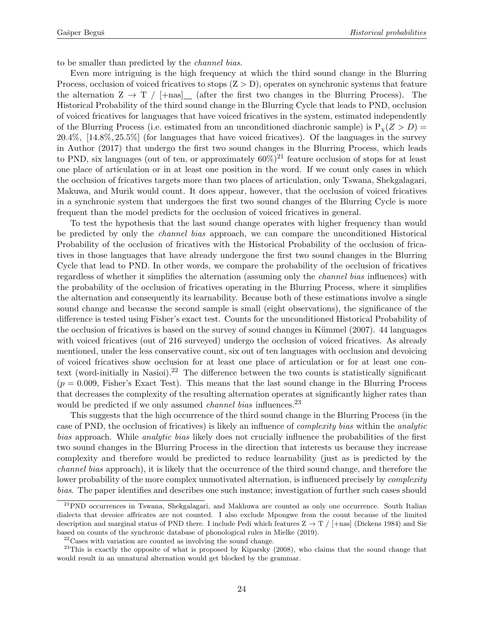to be smaller than predicted by the channel bias.

Even more intriguing is the high frequency at which the third sound change in the Blurring Process, occlusion of voiced fricatives to stops  $(Z > D)$ , operates on synchronic systems that feature the alternation  $Z \to T / \pm \text{nas}$  (after the first two changes in the Blurring Process). The Historical Probability of the third sound change in the Blurring Cycle that leads to PND, occlusion of voiced fricatives for languages that have voiced fricatives in the system, estimated independently of the Blurring Process (i.e. estimated from an unconditioned diachronic sample) is  $P_y(Z > D)$  = 20.4%, [14.8%, 25.5%] (for languages that have voiced fricatives). Of the languages in the survey in Author (2017) that undergo the first two sound changes in the Blurring Process, which leads to PND, six languages (out of ten, or approximately  $60\%)^{21}$  $60\%)^{21}$  $60\%)^{21}$  feature occlusion of stops for at least one place of articulation or in at least one position in the word. If we count only cases in which the occlusion of fricatives targets more than two places of articulation, only Tswana, Shekgalagari, Makuwa, and Murik would count. It does appear, however, that the occlusion of voiced fricatives in a synchronic system that undergoes the first two sound changes of the Blurring Cycle is more frequent than the model predicts for the occlusion of voiced fricatives in general.

To test the hypothesis that the last sound change operates with higher frequency than would be predicted by only the channel bias approach, we can compare the unconditioned Historical Probability of the occlusion of fricatives with the Historical Probability of the occlusion of fricatives in those languages that have already undergone the first two sound changes in the Blurring Cycle that lead to PND. In other words, we compare the probability of the occlusion of fricatives regardless of whether it simplifies the alternation (assuming only the channel bias influences) with the probability of the occlusion of fricatives operating in the Blurring Process, where it simplifies the alternation and consequently its learnability. Because both of these estimations involve a single sound change and because the second sample is small (eight observations), the significance of the difference is tested using Fisher's exact test. Counts for the unconditioned Historical Probability of the occlusion of fricatives is based on the survey of sound changes in Kümmel  $(2007)$ . 44 languages with voiced fricatives (out of 216 surveyed) undergo the occlusion of voiced fricatives. As already mentioned, under the less conservative count, six out of ten languages with occlusion and devoicing of voiced fricatives show occlusion for at least one place of articulation or for at least one con-text (word-initially in Nasioi).<sup>[22](#page-23-1)</sup> The difference between the two counts is statistically significant  $(p = 0.009,$  Fisher's Exact Test). This means that the last sound change in the Blurring Process that decreases the complexity of the resulting alternation operates at significantly higher rates than would be predicted if we only assumed *channel bias* influences.<sup>[23](#page-23-2)</sup>

This suggests that the high occurrence of the third sound change in the Blurring Process (in the case of PND, the occlusion of fricatives) is likely an influence of complexity bias within the analytic bias approach. While analytic bias likely does not crucially influence the probabilities of the first two sound changes in the Blurring Process in the direction that interests us because they increase complexity and therefore would be predicted to reduce learnability (just as is predicted by the channel bias approach), it is likely that the occurrence of the third sound change, and therefore the lower probability of the more complex unmotivated alternation, is influenced precisely by *complexity* bias. The paper identifies and describes one such instance; investigation of further such cases should

<span id="page-23-0"></span><sup>21</sup>PND occurrences in Tswana, Shekgalagari, and Makhuwa are counted as only one occurrence. South Italian dialects that devoice affricates are not counted. I also exclude Mpongwe from the count because of the limited description and marginal status of PND there. I include Pedi which features  $Z \rightarrow T /$  [+nas] (Dickens 1984) and Sie based on counts of the synchronic database of phonological rules in Mielke (2019).

<span id="page-23-2"></span><span id="page-23-1"></span> $^{22}\mathrm{Ca}$  with variation are counted as involving the sound change.

<sup>&</sup>lt;sup>23</sup>This is exactly the opposite of what is proposed by Kiparsky (2008), who claims that the sound change that would result in an unnatural alternation would get blocked by the grammar.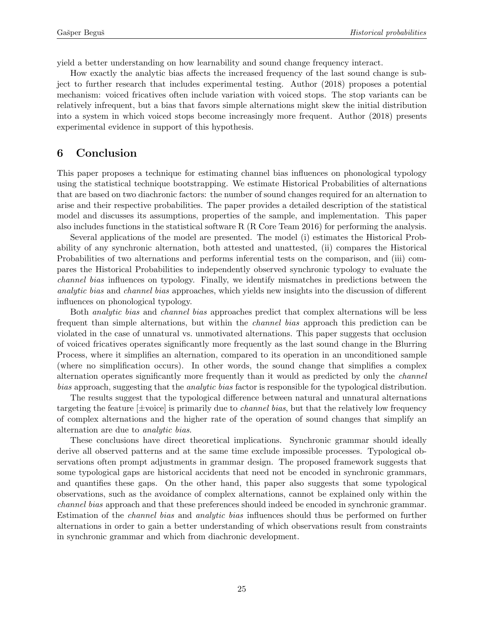yield a better understanding on how learnability and sound change frequency interact.

How exactly the analytic bias affects the increased frequency of the last sound change is subject to further research that includes experimental testing. Author (2018) proposes a potential mechanism: voiced fricatives often include variation with voiced stops. The stop variants can be relatively infrequent, but a bias that favors simple alternations might skew the initial distribution into a system in which voiced stops become increasingly more frequent. Author (2018) presents experimental evidence in support of this hypothesis.

# 6 Conclusion

This paper proposes a technique for estimating channel bias influences on phonological typology using the statistical technique bootstrapping. We estimate Historical Probabilities of alternations that are based on two diachronic factors: the number of sound changes required for an alternation to arise and their respective probabilities. The paper provides a detailed description of the statistical model and discusses its assumptions, properties of the sample, and implementation. This paper also includes functions in the statistical software R (R Core Team 2016) for performing the analysis.

Several applications of the model are presented. The model (i) estimates the Historical Probability of any synchronic alternation, both attested and unattested, (ii) compares the Historical Probabilities of two alternations and performs inferential tests on the comparison, and (iii) compares the Historical Probabilities to independently observed synchronic typology to evaluate the channel bias influences on typology. Finally, we identify mismatches in predictions between the analytic bias and channel bias approaches, which yields new insights into the discussion of different influences on phonological typology.

Both analytic bias and channel bias approaches predict that complex alternations will be less frequent than simple alternations, but within the channel bias approach this prediction can be violated in the case of unnatural vs. unmotivated alternations. This paper suggests that occlusion of voiced fricatives operates significantly more frequently as the last sound change in the Blurring Process, where it simplifies an alternation, compared to its operation in an unconditioned sample (where no simplification occurs). In other words, the sound change that simplifies a complex alternation operates significantly more frequently than it would as predicted by only the channel bias approach, suggesting that the analytic bias factor is responsible for the typological distribution.

The results suggest that the typological difference between natural and unnatural alternations targeting the feature  $\pm$ voice is primarily due to *channel bias*, but that the relatively low frequency of complex alternations and the higher rate of the operation of sound changes that simplify an alternation are due to analytic bias.

These conclusions have direct theoretical implications. Synchronic grammar should ideally derive all observed patterns and at the same time exclude impossible processes. Typological observations often prompt adjustments in grammar design. The proposed framework suggests that some typological gaps are historical accidents that need not be encoded in synchronic grammars, and quantifies these gaps. On the other hand, this paper also suggests that some typological observations, such as the avoidance of complex alternations, cannot be explained only within the channel bias approach and that these preferences should indeed be encoded in synchronic grammar. Estimation of the channel bias and analytic bias influences should thus be performed on further alternations in order to gain a better understanding of which observations result from constraints in synchronic grammar and which from diachronic development.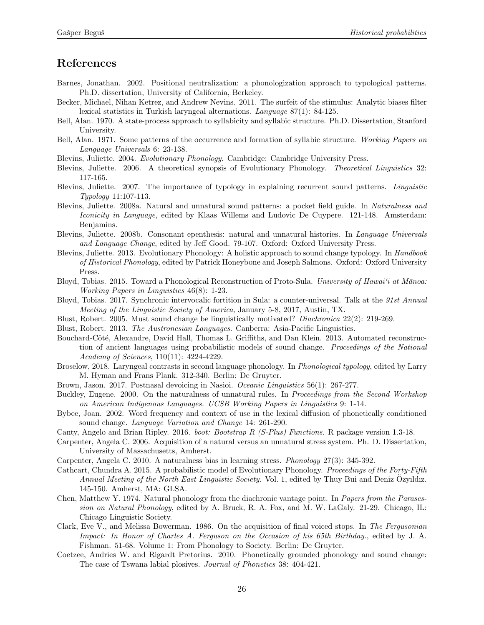# References

- Barnes, Jonathan. 2002. Positional neutralization: a phonologization approach to typological patterns. Ph.D. dissertation, University of California, Berkeley.
- Becker, Michael, Nihan Ketrez, and Andrew Nevins. 2011. The surfeit of the stimulus: Analytic biases filter lexical statistics in Turkish laryngeal alternations. Language 87(1): 84-125.
- Bell, Alan. 1970. A state-process approach to syllabicity and syllabic structure. Ph.D. Dissertation, Stanford University.
- Bell, Alan. 1971. Some patterns of the occurrence and formation of syllabic structure. Working Papers on Language Universals 6: 23-138.
- Blevins, Juliette. 2004. Evolutionary Phonology. Cambridge: Cambridge University Press.
- Blevins, Juliette. 2006. A theoretical synopsis of Evolutionary Phonology. Theoretical Linguistics 32: 117-165.
- Blevins, Juliette. 2007. The importance of typology in explaining recurrent sound patterns. Linguistic Typology 11:107-113.
- Blevins, Juliette. 2008a. Natural and unnatural sound patterns: a pocket field guide. In Naturalness and Iconicity in Language, edited by Klaas Willems and Ludovic De Cuypere. 121-148. Amsterdam: Benjamins.
- Blevins, Juliette. 2008b. Consonant epenthesis: natural and unnatural histories. In Language Universals and Language Change, edited by Jeff Good. 79-107. Oxford: Oxford University Press.
- Blevins, Juliette. 2013. Evolutionary Phonology: A holistic approach to sound change typology. In Handbook of Historical Phonology, edited by Patrick Honeybone and Joseph Salmons. Oxford: Oxford University Press.
- Bloyd, Tobias. 2015. Toward a Phonological Reconstruction of Proto-Sula. University of Hawai'i at Mānoa: Working Papers in Linguistics 46(8): 1-23.
- Bloyd, Tobias. 2017. Synchronic intervocalic fortition in Sula: a counter-universal. Talk at the 91st Annual Meeting of the Linguistic Society of America, January 5-8, 2017, Austin, TX.
- Blust, Robert. 2005. Must sound change be linguistically motivated? Diachronica 22(2): 219-269.
- Blust, Robert. 2013. The Austronesian Languages. Canberra: Asia-Pacific Linguistics.
- Bouchard-Côté, Alexandre, David Hall, Thomas L. Griffiths, and Dan Klein. 2013. Automated reconstruction of ancient languages using probabilistic models of sound change. Proceedings of the National Academy of Sciences, 110(11): 4224-4229.
- Broselow, 2018. Laryngeal contrasts in second language phonology. In Phonological typology, edited by Larry M. Hyman and Frans Plank. 312-340. Berlin: De Gruyter.
- Brown, Jason. 2017. Postnasal devoicing in Nasioi. Oceanic Linguistics 56(1): 267-277.
- Buckley, Eugene. 2000. On the naturalness of unnatural rules. In Proceedings from the Second Workshop on American Indigenous Languages. UCSB Working Papers in Linguistics 9: 1-14.
- Bybee, Joan. 2002. Word frequency and context of use in the lexical diffusion of phonetically conditioned sound change. Language Variation and Change 14: 261-290.
- Canty, Angelo and Brian Ripley. 2016. boot: Bootstrap R (S-Plus) Functions. R package version 1.3-18.
- Carpenter, Angela C. 2006. Acquisition of a natural versus an unnatural stress system. Ph. D. Dissertation, University of Massachusetts, Amherst.
- Carpenter, Angela C. 2010. A naturalness bias in learning stress. Phonology 27(3): 345-392.
- Cathcart, Chundra A. 2015. A probabilistic model of Evolutionary Phonology. Proceedings of the Forty-Fifth Annual Meeting of the North East Linguistic Society. Vol. 1, edited by Thuy Bui and Deniz Özyıldız. 145-150. Amherst, MA: GLSA.
- Chen, Matthew Y. 1974. Natural phonology from the diachronic vantage point. In Papers from the Parasession on Natural Phonology, edited by A. Bruck, R. A. Fox, and M. W. LaGaly. 21-29. Chicago, IL: Chicago Linguistic Society.
- Clark, Eve V., and Melissa Bowerman. 1986. On the acquisition of final voiced stops. In The Fergusonian Impact: In Honor of Charles A. Ferguson on the Occasion of his 65th Birthday., edited by J. A. Fishman. 51-68. Volume 1: From Phonology to Society. Berlin: De Gruyter.
- Coetzee, Andries W. and Rigardt Pretorius. 2010. Phonetically grounded phonology and sound change: The case of Tswana labial plosives. Journal of Phonetics 38: 404-421.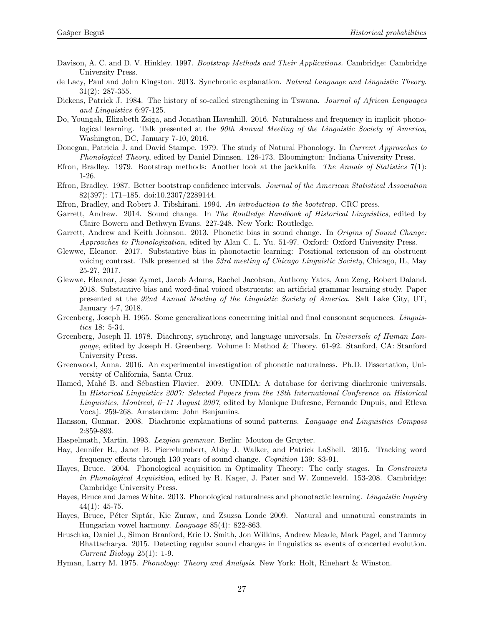- Davison, A. C. and D. V. Hinkley. 1997. Bootstrap Methods and Their Applications. Cambridge: Cambridge University Press.
- de Lacy, Paul and John Kingston. 2013. Synchronic explanation. Natural Language and Linguistic Theory. 31(2): 287-355.
- Dickens, Patrick J. 1984. The history of so-called strengthening in Tswana. Journal of African Languages and Linguistics 6:97-125.
- Do, Youngah, Elizabeth Zsiga, and Jonathan Havenhill. 2016. Naturalness and frequency in implicit phonological learning. Talk presented at the 90th Annual Meeting of the Linguistic Society of America, Washington, DC, January 7-10, 2016.
- Donegan, Patricia J. and David Stampe. 1979. The study of Natural Phonology. In Current Approaches to Phonological Theory, edited by Daniel Dinnsen. 126-173. Bloomington: Indiana University Press.
- Efron, Bradley. 1979. Bootstrap methods: Another look at the jackknife. The Annals of Statistics 7(1): 1-26.
- Efron, Bradley. 1987. Better bootstrap confidence intervals. Journal of the American Statistical Association 82(397): 171–185. doi:10.2307/2289144.
- Efron, Bradley, and Robert J. Tibshirani. 1994. An introduction to the bootstrap. CRC press.
- Garrett, Andrew. 2014. Sound change. In The Routledge Handbook of Historical Linguistics, edited by Claire Bowern and Bethwyn Evans. 227-248. New York: Routledge.
- Garrett, Andrew and Keith Johnson. 2013. Phonetic bias in sound change. In Origins of Sound Change: Approaches to Phonologization, edited by Alan C. L. Yu. 51-97. Oxford: Oxford University Press.
- Glewwe, Eleanor. 2017. Substantive bias in phonotactic learning: Positional extension of an obstruent voicing contrast. Talk presented at the 53rd meeting of Chicago Linguistic Society, Chicago, IL, May 25-27, 2017.
- Glewwe, Eleanor, Jesse Zymet, Jacob Adams, Rachel Jacobson, Anthony Yates, Ann Zeng, Robert Daland. 2018. Substantive bias and word-final voiced obstruents: an artificial grammar learning study. Paper presented at the 92nd Annual Meeting of the Linguistic Society of America. Salt Lake City, UT, January 4-7, 2018.
- Greenberg, Joseph H. 1965. Some generalizations concerning initial and final consonant sequences. Linguistics 18: 5-34.
- Greenberg, Joseph H. 1978. Diachrony, synchrony, and language universals. In Universals of Human Language, edited by Joseph H. Greenberg. Volume I: Method & Theory. 61-92. Stanford, CA: Stanford University Press.
- Greenwood, Anna. 2016. An experimental investigation of phonetic naturalness. Ph.D. Dissertation, University of California, Santa Cruz.
- Hamed, Mahé B. and Sébastien Flavier. 2009. UNIDIA: A database for deriving diachronic universals. In Historical Linguistics 2007: Selected Papers from the 18th International Conference on Historical Linguistics, Montreal, 6–11 August 2007, edited by Monique Dufresne, Fernande Dupuis, and Etleva Vocaj. 259-268. Amsterdam: John Benjamins.
- Hansson, Gunnar. 2008. Diachronic explanations of sound patterns. Language and Linguistics Compass 2:859-893.
- Haspelmath, Martin. 1993. Lezgian grammar. Berlin: Mouton de Gruyter.
- Hay, Jennifer B., Janet B. Pierrehumbert, Abby J. Walker, and Patrick LaShell. 2015. Tracking word frequency effects through 130 years of sound change. Cognition 139: 83-91.
- Hayes, Bruce. 2004. Phonological acquisition in Optimality Theory: The early stages. In Constraints in Phonological Acquisition, edited by R. Kager, J. Pater and W. Zonneveld. 153-208. Cambridge: Cambridge University Press.
- Hayes, Bruce and James White. 2013. Phonological naturalness and phonotactic learning. Linguistic Inquiry 44(1): 45-75.
- Hayes, Bruce, Péter Siptár, Kie Zuraw, and Zsuzsa Londe 2009. Natural and unnatural constraints in Hungarian vowel harmony. Language 85(4): 822-863.
- Hruschka, Daniel J., Simon Branford, Eric D. Smith, Jon Wilkins, Andrew Meade, Mark Pagel, and Tanmoy Bhattacharya. 2015. Detecting regular sound changes in linguistics as events of concerted evolution. Current Biology 25(1): 1-9.
- Hyman, Larry M. 1975. Phonology: Theory and Analysis. New York: Holt, Rinehart & Winston.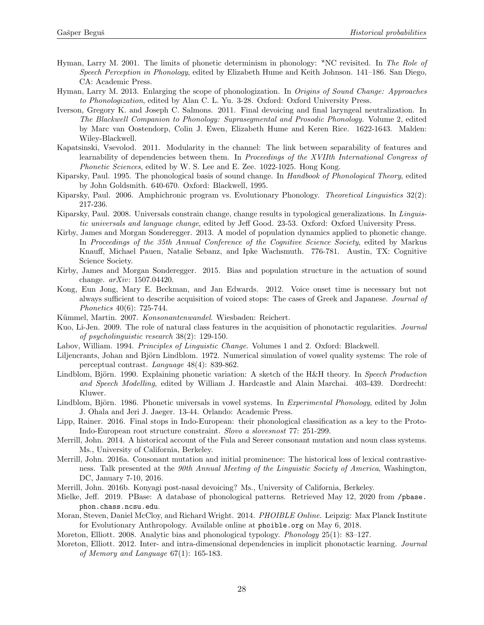- Hyman, Larry M. 2001. The limits of phonetic determinism in phonology: \*NC revisited. In The Role of Speech Perception in Phonology, edited by Elizabeth Hume and Keith Johnson. 141–186. San Diego, CA: Academic Press.
- Hyman, Larry M. 2013. Enlarging the scope of phonologization. In Origins of Sound Change: Approaches to Phonologization, edited by Alan C. L. Yu. 3-28. Oxford: Oxford University Press.
- Iverson, Gregory K. and Joseph C. Salmons. 2011. Final devoicing and final laryngeal neutralization. In The Blackwell Companion to Phonology: Suprasegmental and Prosodic Phonology. Volume 2, edited by Marc van Oostendorp, Colin J. Ewen, Elizabeth Hume and Keren Rice. 1622-1643. Malden: Wiley-Blackwell.
- Kapatsinski, Vsevolod. 2011. Modularity in the channel: The link between separability of features and learnability of dependencies between them. In Proceedings of the XVIIth International Congress of Phonetic Sciences, edited by W. S. Lee and E. Zee. 1022-1025. Hong Kong.
- Kiparsky, Paul. 1995. The phonological basis of sound change. In Handbook of Phonological Theory, edited by John Goldsmith. 640-670. Oxford: Blackwell, 1995.
- Kiparsky, Paul. 2006. Amphichronic program vs. Evolutionary Phonology. Theoretical Linguistics 32(2): 217-236.
- Kiparsky, Paul. 2008. Universals constrain change, change results in typological generalizations. In Linguistic universals and language change, edited by Jeff Good. 23-53. Oxford: Oxford University Press.
- Kirby, James and Morgan Sonderegger. 2013. A model of population dynamics applied to phonetic change. In Proceedings of the 35th Annual Conference of the Cognitive Science Society, edited by Markus Knauff, Michael Pauen, Natalie Sebanz, and Ipke Wachsmuth. 776-781. Austin, TX: Cognitive Science Society.
- Kirby, James and Morgan Sonderegger. 2015. Bias and population structure in the actuation of sound change. arXiv: 1507.04420.
- Kong, Eun Jong, Mary E. Beckman, and Jan Edwards. 2012. Voice onset time is necessary but not always sufficient to describe acquisition of voiced stops: The cases of Greek and Japanese. Journal of Phonetics 40(6): 725-744.
- Kümmel, Martin. 2007. Konsonantenwandel. Wiesbaden: Reichert.
- Kuo, Li-Jen. 2009. The role of natural class features in the acquisition of phonotactic regularities. Journal of psycholinguistic research 38(2): 129-150.
- Labov, William. 1994. Principles of Linguistic Change. Volumes 1 and 2. Oxford: Blackwell.
- Liljencrants, Johan and Björn Lindblom. 1972. Numerical simulation of vowel quality systems: The role of perceptual contrast. Language 48(4): 839-862.
- Lindblom, Björn. 1990. Explaining phonetic variation: A sketch of the H&H theory. In Speech Production and Speech Modelling, edited by William J. Hardcastle and Alain Marchai. 403-439. Dordrecht: Kluwer.
- Lindblom, Björn. 1986. Phonetic universals in vowel systems. In *Experimental Phonology*, edited by John J. Ohala and Jeri J. Jaeger. 13-44. Orlando: Academic Press.
- Lipp, Rainer. 2016. Final stops in Indo-European: their phonological classification as a key to the Proto-Indo-European root structure constraint. Slovo a slovesnost 77: 251-299.
- Merrill, John. 2014. A historical account of the Fula and Sereer consonant mutation and noun class systems. Ms., University of California, Berkeley.
- Merrill, John. 2016a. Consonant mutation and initial prominence: The historical loss of lexical contrastiveness. Talk presented at the 90th Annual Meeting of the Linguistic Society of America, Washington, DC, January 7-10, 2016.
- Merrill, John. 2016b. Konyagi post-nasal devoicing? Ms., University of California, Berkeley.
- Mielke, Jeff. 2019. PBase: A database of phonological patterns. Retrieved May 12, 2020 from [/pbase.](/pbase.phon.chass.ncsu.edu) [phon.chass.ncsu.edu](/pbase.phon.chass.ncsu.edu).
- Moran, Steven, Daniel McCloy, and Richard Wright. 2014. PHOIBLE Online. Leipzig: Max Planck Institute for Evolutionary Anthropology. Available online at <phoible.org> on May 6, 2018.
- Moreton, Elliott. 2008. Analytic bias and phonological typology. Phonology 25(1): 83–127.
- Moreton, Elliott. 2012. Inter- and intra-dimensional dependencies in implicit phonotactic learning. Journal of Memory and Language 67(1): 165-183.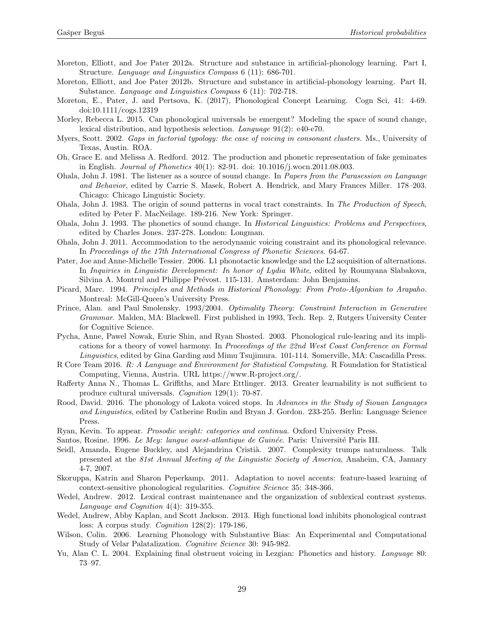- Moreton, Elliott, and Joe Pater 2012a. Structure and substance in artificial-phonology learning. Part I, Structure. Language and Linguistics Compass 6 (11): 686-701.
- Moreton, Elliott, and Joe Pater 2012b. Structure and substance in artificial-phonology learning. Part II, Substance. Language and Linguistics Compass 6 (11): 702-718.
- Moreton, E., Pater, J. and Pertsova, K. (2017), Phonological Concept Learning. Cogn Sci, 41: 4-69. doi:10.1111/cogs.12319
- Morley, Rebecca L. 2015. Can phonological universals be emergent? Modeling the space of sound change, lexical distribution, and hypothesis selection. Language 91(2): e40-e70.
- Myers, Scott. 2002. Gaps in factorial typology: the case of voicing in consonant clusters. Ms., University of Texas, Austin. ROA.
- Oh, Grace E. and Melissa A. Redford. 2012. The production and phonetic representation of fake geminates in English. Journal of Phonetics 40(1): 82-91. doi: 10.1016/j.wocn.2011.08.003.
- Ohala, John J. 1981. The listener as a source of sound change. In Papers from the Parasession on Language and Behavior, edited by Carrie S. Masek, Robert A. Hendrick, and Mary Frances Miller. 178–203. Chicago: Chicago Linguistic Society.
- Ohala, John J. 1983. The origin of sound patterns in vocal tract constraints. In The Production of Speech, edited by Peter F. MacNeilage. 189-216. New York: Springer.
- Ohala, John J. 1993. The phonetics of sound change. In Historical Linguistics: Problems and Perspectives, edited by Charles Jones. 237-278. London: Longman.
- Ohala, John J. 2011. Accommodation to the aerodynamic voicing constraint and its phonological relevance. In Proceedings of the 17th International Congress of Phonetic Sciences. 64-67.
- Pater, Joe and Anne-Michelle Tessier. 2006. L1 phonotactic knowledge and the L2 acquisition of alternations. In Inquiries in Linguistic Development: In honor of Lydia White, edited by Roumyana Slabakova, Silvina A. Montrul and Philippe Prévost. 115-131. Amsterdam: John Benjamins.
- Picard, Marc. 1994. Principles and Methods in Historical Phonology: From Proto-Algonkian to Arapaho. Montreal: McGill-Queen's University Press.
- Prince, Alan. and Paul Smolensky. 1993/2004. Optimality Theory: Constraint Interaction in Generative Grammar. Malden, MA: Blackwell. First published in 1993, Tech. Rep. 2, Rutgers University Center for Cognitive Science.
- Pycha, Anne, Pawel Nowak, Eurie Shin, and Ryan Shosted. 2003. Phonological rule-learing and its implications for a theory of vowel harmony. In Proceedings of the 22nd West Coast Conference on Formal Linguistics, edited by Gina Garding and Mimu Tsujimura. 101-114. Somerville, MA: Cascadilla Press.
- R Core Team 2016. R: A Language and Environment for Statistical Computing. R Foundation for Statistical Computing, Vienna, Austria. URL https://www.R-project.org/.
- Rafferty Anna N., Thomas L. Griffiths, and Marc Ettlinger. 2013. Greater learnability is not sufficient to produce cultural universals. Cognition 129(1): 70-87.
- Rood, David. 2016. The phonology of Lakota voiced stops. In Advances in the Study of Siouan Languages and Linguistics, edited by Catherine Rudin and Bryan J. Gordon. 233-255. Berlin: Language Science Press.
- Ryan, Kevin. To appear. Prosodic weight: categories and continua. Oxford University Press.
- Santos, Rosine. 1996. Le Mey: langue ouest-atlantique de Guinée. Paris: Université Paris III.
- Seidl, Amanda, Eugene Buckley, and Alejandrina Cristià. 2007. Complexity trumps naturalness. Talk presented at the 81st Annual Meeting of the Linguistic Society of America, Anaheim, CA, January 4-7, 2007.
- Skoruppa, Katrin and Sharon Peperkamp. 2011. Adaptation to novel accents: feature-based learning of context-sensitive phonological regularities. Cognitive Science 35: 348-366.
- Wedel, Andrew. 2012. Lexical contrast maintenance and the organization of sublexical contrast systems. Language and Cognition 4(4): 319-355.
- Wedel, Andrew, Abby Kaplan, and Scott Jackson. 2013. High functional load inhibits phonological contrast loss: A corpus study. Cognition 128(2): 179-186,
- Wilson, Colin. 2006. Learning Phonology with Substantive Bias: An Experimental and Computational Study of Velar Palatalization. Cognitive Science 30: 945-982.
- Yu, Alan C. L. 2004. Explaining final obstruent voicing in Lezgian: Phonetics and history. Language 80: 73–97.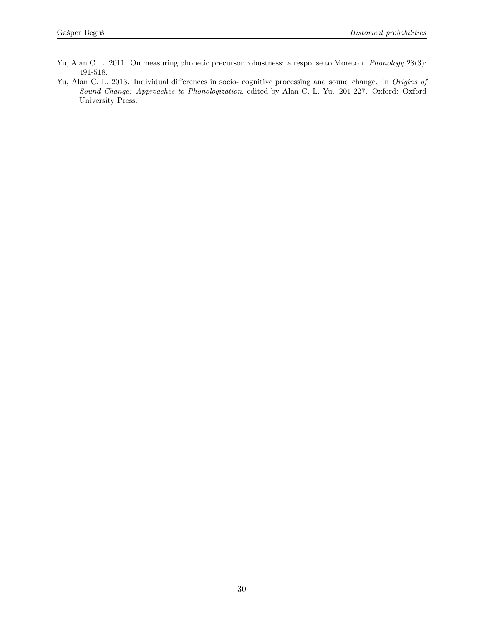- Yu, Alan C. L. 2011. On measuring phonetic precursor robustness: a response to Moreton. *Phonology* 28(3): 491-518.
- Yu, Alan C. L. 2013. Individual differences in socio- cognitive processing and sound change. In Origins of Sound Change: Approaches to Phonologization, edited by Alan C. L. Yu. 201-227. Oxford: Oxford University Press.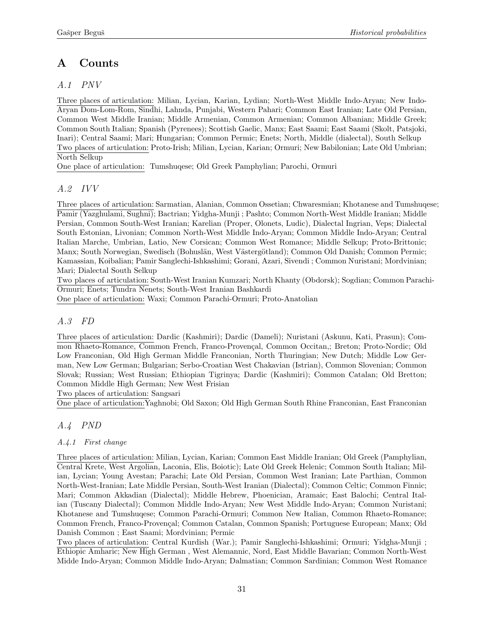# <span id="page-30-0"></span>A Counts

# <span id="page-30-1"></span>A.1 PNV

Three places of articulation: Milian, Lycian, Karian, Lydian; North-West Middle Indo-Aryan; New Indo-Aryan Dom-Lom-Rom, Sindhi, Lahnda, Punjabi, Western Pahari; Common East Iranian; Late Old Persian, Common West Middle Iranian; Middle Armenian, Common Armenian; Common Albanian; Middle Greek; Common South Italian; Spanish (Pyrenees); Scottish Gaelic, Manx; East Saami; East Saami (Skolt, Patsjoki, Inari); Central Saami; Mari; Hungarian; Common Permic; Enets; North, Middle (dialectal), South Selkup Two places of articulation: Proto-Irish; Milian, Lycian, Karian; Ormuri; New Babilonian; Late Old Umbrian; North Selkup

<span id="page-30-2"></span>One place of articulation: Tumshuqese; Old Greek Pamphylian; Parochi, Ormuri

# A.2 IVV

Three places of articulation: Sarmatian, Alanian, Common Ossetian; Chwaresmian; Khotanese and Tumshuqese; Pamir (Yazghulami, Sughni); Bactrian; Yidgha-Munji ; Pashto; Common North-West Middle Iranian; Middle Persian, Common South-West Iranian; Karelian (Proper, Olonets, Ludic), Dialectal Ingrian, Veps; Dialectal South Estonian, Livonian; Common North-West Middle Indo-Aryan; Common Middle Indo-Aryan; Central Italian Marche, Umbrian, Latio, New Corsican; Common West Romance; Middle Selkup; Proto-Brittonic; Manx; South Norwegian, Swedisch (Bohuslän, West Västergötland); Common Old Danish; Common Permic; Kamassian, Koibalian; Pamir Sanglechi-Ishkashimi; Gorani, Azari, Sivendi ; Common Nuristani; Mordvinian; Mari; Dialectal South Selkup

Two places of articulation: South-West Iranian Kumzari; North Khanty (Obdorsk); Sogdian; Common Parachi-Ormuri; Enets; Tundra Nenets; South-West Iranian Bashkardi

<span id="page-30-3"></span>One place of articulation: Waxi; Common Parachi-Ormuri; Proto-Anatolian

## A.3 FD

Three places of articulation: Dardic (Kashmiri); Dardic (Dameli); Nuristani (Askunu, Kati, Prasun); Common Rhaeto-Romance, Common French, Franco-Provençal, Common Occitan,; Breton; Proto-Nordic; Old Low Franconian, Old High German Middle Franconian, North Thuringian; New Dutch; Middle Low German, New Low German; Bulgarian; Serbo-Croatian West Chakavian (Istrian), Common Slovenian; Common Slovak; Russian; West Russian; Ethiopian Tigrinya; Dardic (Kashmiri); Common Catalan; Old Bretton; Common Middle High German; New West Frisian

Two places of articulation: Sangsari

One place of articulation:Yaghnobi; Old Saxon; Old High German South Rhine Franconian, East Franconian

## A.4 PND

## A.4.1 First change

Three places of articulation: Milian, Lycian, Karian; Common East Middle Iranian; Old Greek (Pamphylian, Central Krete, West Argolian, Laconia, Elis, Boiotic); Late Old Greek Helenic; Common South Italian; Milian, Lycian; Young Avestan; Parachi; Late Old Persian, Common West Iranian; Late Parthian, Common North-West-Iranian; Late Middle Persian, South-West Iranian (Dialectal); Common Celtic; Common Finnic; Mari; Common Akkadian (Dialectal); Middle Hebrew, Phoenician, Aramaic; East Balochi; Central Italian (Tuscany Dialectal); Common Middle Indo-Aryan; New West Middle Indo-Aryan; Common Nuristani; Khotanese and Tumshuqese; Common Parachi-Ormuri; Common New Italian, Common Rhaeto-Romance; Common French, Franco-Provençal; Common Catalan, Common Spanish; Portuguese European; Manx; Old Danish Common ; East Saami; Mordvinian; Permic

Two places of articulation: Central Kurdish (War.); Pamir Sanglechi-Ishkashimi; Ormuri; Yidgha-Munji ; Ethiopic Amharic; New High German , West Alemannic, Nord, East Middle Bavarian; Common North-West Midde Indo-Aryan; Common Middle Indo-Aryan; Dalmatian; Common Sardinian; Common West Romance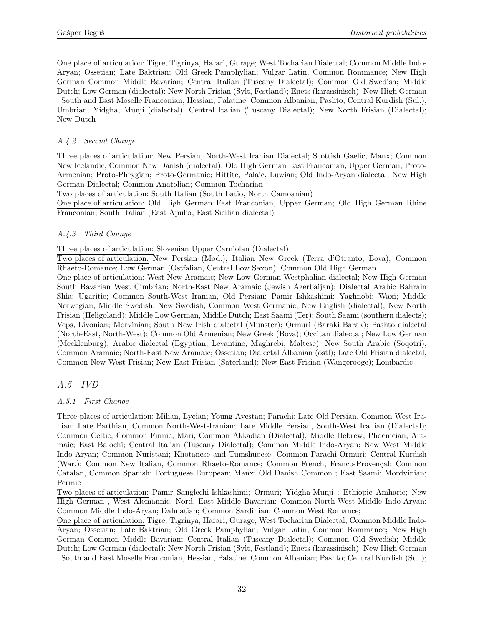One place of articulation: Tigre, Tigrinya, Harari, Gurage; West Tocharian Dialectal; Common Middle Indo-Aryan; Ossetian; Late Baktrian; Old Greek Pamphylian; Vulgar Latin, Common Rommance; New High German Common Middle Bavarian; Central Italian (Tuscany Dialectal); Common Old Swedish; Middle Dutch; Low German (dialectal); New North Frisian (Sylt, Festland); Enets (karassinisch); New High German , South and East Moselle Franconian, Hessian, Palatine; Common Albanian; Pashto; Central Kurdish (Sul.); Umbrian; Yidgha, Munji (dialectal); Central Italian (Tuscany Dialectal); New North Frisian (Dialectal); New Dutch

## A.4.2 Second Change

Three places of articulation: New Persian, North-West Iranian Dialectal; Scottish Gaelic, Manx; Common New Icelandic; Common New Danish (dialectal); Old High German East Franconian, Upper German; Proto-Armenian; Proto-Phrygian; Proto-Germanic; Hittite, Palaic, Luwian; Old Indo-Aryan dialectal; New High German Dialectal; Common Anatolian; Common Tocharian

Two places of articulation: South Italian (South Latio, North Camoanian)

One place of articulation: Old High German East Franconian, Upper German; Old High German Rhine Franconian; South Italian (East Apulia, East Sicilian dialectal)

## A.4.3 Third Change

Three places of articulation: Slovenian Upper Carniolan (Dialectal)

Two places of articulation: New Persian (Mod.); Italian New Greek (Terra d'Otranto, Bova); Common Rhaeto-Romance; Low German (Ostfalian, Central Low Saxon); Common Old High German

One place of articulation: West New Aramaic; New Low German Westphalian dialectal; New High German South Bavarian West Cimbrian; North-East New Aramaic (Jewish Azerbaijan); Dialectal Arabic Bahrain Shia; Ugaritic; Common South-West Iranian, Old Persian; Pamir Ishkashimi; Yaghnobi; Waxi; Middle Norwegian; Middle Swedish; New Swedish; Common West Germanic; New English (dialectal); New North Frisian (Heligoland); Middle Low German, Middle Dutch; East Saami (Ter); South Saami (southern dialects); Veps, Livonian; Morvinian; South New Irish dialectal (Munster); Ormuri (Baraki Barak); Pashto dialectal (North-East, North-West); Common Old Armenian; New Greek (Bova); Occitan dialectal; New Low German (Mecklenburg); Arabic dialectal (Egyptian, Levantine, Maghrebi, Maltese); New South Arabic (Soqotri); Common Aramaic; North-East New Aramaic; Ossetian; Dialectal Albanian (östl); Late Old Frisian dialectal, Common New West Frisian; New East Frisian (Saterland); New East Frisian (Wangerooge); Lombardic

## A.5 IVD

## A.5.1 First Change

Three places of articulation: Milian, Lycian; Young Avestan; Parachi; Late Old Persian, Common West Iranian; Late Parthian, Common North-West-Iranian; Late Middle Persian, South-West Iranian (Dialectal); Common Celtic; Common Finnic; Mari; Common Akkadian (Dialectal); Middle Hebrew, Phoenician, Aramaic; East Balochi; Central Italian (Tuscany Dialectal); Common Middle Indo-Aryan; New West Middle Indo-Aryan; Common Nuristani; Khotanese and Tumshuqese; Common Parachi-Ormuri; Central Kurdish (War.); Common New Italian, Common Rhaeto-Romance; Common French, Franco-Provençal; Common Catalan, Common Spanish; Portuguese European; Manx; Old Danish Common ; East Saami; Mordvinian; Permic

Two places of articulation: Pamir Sanglechi-Ishkashimi; Ormuri; Yidgha-Munji ; Ethiopic Amharic; New High German , West Alemannic, Nord, East Middle Bavarian; Common North-West Middle Indo-Aryan; Common Middle Indo-Aryan; Dalmatian; Common Sardinian; Common West Romance;

One place of articulation: Tigre, Tigrinya, Harari, Gurage; West Tocharian Dialectal; Common Middle Indo-Aryan; Ossetian; Late Baktrian; Old Greek Pamphylian; Vulgar Latin, Common Rommance; New High German Common Middle Bavarian; Central Italian (Tuscany Dialectal); Common Old Swedish; Middle Dutch; Low German (dialectal); New North Frisian (Sylt, Festland); Enets (karassinisch); New High German , South and East Moselle Franconian, Hessian, Palatine; Common Albanian; Pashto; Central Kurdish (Sul.);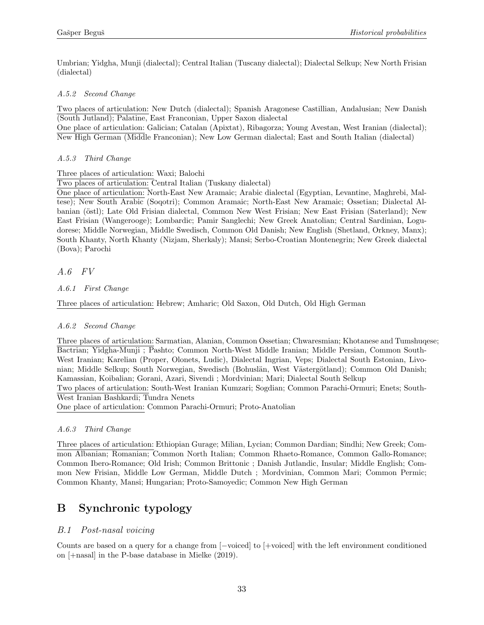Umbrian; Yidgha, Munji (dialectal); Central Italian (Tuscany dialectal); Dialectal Selkup; New North Frisian (dialectal)

### A.5.2 Second Change

Two places of articulation: New Dutch (dialectal); Spanish Aragonese Castillian, Andalusian; New Danish (South Jutland); Palatine, East Franconian, Upper Saxon dialectal

One place of articulation: Galician; Catalan (Apixtat), Ribagorza; Young Avestan, West Iranian (dialectal); New High German (Middle Franconian); New Low German dialectal; East and South Italian (dialectal)

## A.5.3 Third Change

Three places of articulation: Waxi; Balochi

Two places of articulation: Central Italian (Tuskany dialectal)

One place of articulation: North-East New Aramaic; Arabic dialectal (Egyptian, Levantine, Maghrebi, Maltese); New South Arabic (Soqotri); Common Aramaic; North-East New Aramaic; Ossetian; Dialectal Albanian (östl); Late Old Frisian dialectal, Common New West Frisian; New East Frisian (Saterland); New East Frisian (Wangerooge); Lombardic; Pamir Sanglechi; New Greek Anatolian; Central Sardinian, Logudorese; Middle Norwegian, Middle Swedisch, Common Old Danish; New English (Shetland, Orkney, Manx); South Khanty, North Khanty (Nizjam, Sherkaly); Mansi; Serbo-Croatian Montenegrin; New Greek dialectal (Bova); Parochi

A.6 FV

A.6.1 First Change

Three places of articulation: Hebrew; Amharic; Old Saxon, Old Dutch, Old High German

### A.6.2 Second Change

Three places of articulation: Sarmatian, Alanian, Common Ossetian; Chwaresmian; Khotanese and Tumshuqese; Bactrian; Yidgha-Munji ; Pashto; Common North-West Middle Iranian; Middle Persian, Common South-West Iranian; Karelian (Proper, Olonets, Ludic), Dialectal Ingrian, Veps; Dialectal South Estonian, Livonian; Middle Selkup; South Norwegian, Swedisch (Bohuslän, West Västergötland); Common Old Danish; Kamassian, Koibalian; Gorani, Azari, Sivendi ; Mordvinian; Mari; Dialectal South Selkup Two places of articulation: South-West Iranian Kumzari; Sogdian; Common Parachi-Ormuri; Enets; South-West Iranian Bashkardi; Tundra Nenets One place of articulation: Common Parachi-Ormuri; Proto-Anatolian

### A.6.3 Third Change

Three places of articulation: Ethiopian Gurage; Milian, Lycian; Common Dardian; Sindhi; New Greek; Common Albanian; Romanian; Common North Italian; Common Rhaeto-Romance, Common Gallo-Romance; Common Ibero-Romance; Old Irish; Common Brittonic ; Danish Jutlandic, Insular; Middle English; Common New Frisian, Middle Low German, Middle Dutch ; Mordvinian, Common Mari; Common Permic; Common Khanty, Mansi; Hungarian; Proto-Samoyedic; Common New High German

# <span id="page-32-0"></span>B Synchronic typology

## B.1 Post-nasal voicing

Counts are based on a query for a change from [−voiced] to [+voiced] with the left environment conditioned on [+nasal] in the P-base database in Mielke (2019).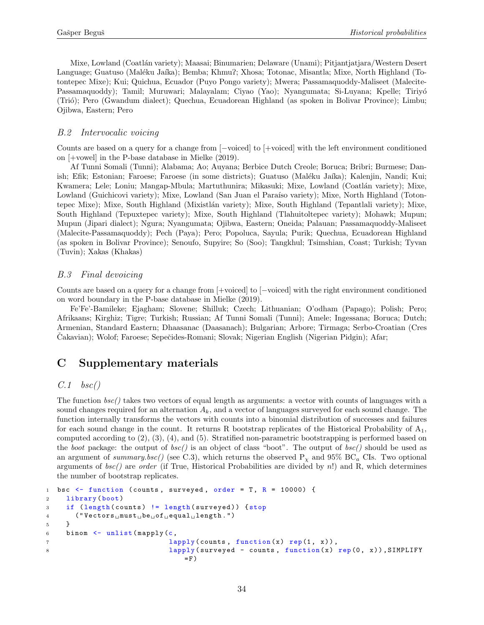Mixe, Lowland (Coatlán variety); Maasai; Binumarien; Delaware (Unami); Pitjantjatjara/Western Desert Language; Guatuso (Maléku Jaíka); Bemba; Khmu?; Xhosa; Totonac, Misantla; Mixe, North Highland (Totontepec Mixe); Kui; Quichua, Ecuador (Puyo Pongo variety); Mwera; Passamaquoddy-Maliseet (Malecite-Passamaquoddy); Tamil; Muruwari; Malayalam; Ciyao (Yao); Nyangumata; Si-Luyana; Kpelle; Tiriyó (Trió); Pero (Gwandum dialect); Quechua, Ecuadorean Highland (as spoken in Bolivar Province); Limbu; Ojibwa, Eastern; Pero

### B.2 Intervocalic voicing

Counts are based on a query for a change from [−voiced] to [+voiced] with the left environment conditioned on [+vowel] in the P-base database in Mielke (2019).

Af Tunni Somali (Tunni); Alabama; Ao; Auyana; Berbice Dutch Creole; Boruca; Bribri; Burmese; Danish; Efik; Estonian; Faroese; Faroese (in some districts); Guatuso (Maléku Jaíka); Kalenjin, Nandi; Kui; Kwamera; Lele; Loniu; Mangap-Mbula; Martuthunira; Mikasuki; Mixe, Lowland (Coatlán variety); Mixe, Lowland (Guichicovi variety); Mixe, Lowland (San Juan el Paraíso variety); Mixe, North Highland (Totontepec Mixe); Mixe, South Highland (Mixistlán variety); Mixe, South Highland (Tepantlali variety); Mixe, South Highland (Tepuxtepec variety); Mixe, South Highland (Tlahuitoltepec variety); Mohawk; Mupun; Mupun (Jipari dialect); Ngura; Nyangumata; Ojibwa, Eastern; Oneida; Palauan; Passamaquoddy-Maliseet (Malecite-Passamaquoddy); Pech (Paya); Pero; Popoluca, Sayula; Purik; Quechua, Ecuadorean Highland (as spoken in Bolivar Province); Senoufo, Supyire; So (Soo); Tangkhul; Tsimshian, Coast; Turkish; Tyvan (Tuvin); Xakas (Khakas)

### B.3 Final devoicing

Counts are based on a query for a change from [+voiced] to [−voiced] with the right environment conditioned on word boundary in the P-base database in Mielke (2019).

Fe'Fe'-Bamileke; Ejagham; Slovene; Shilluk; Czech; Lithuanian; O'odham (Papago); Polish; Pero; Afrikaans; Kirghiz; Tigre; Turkish; Russian; Af Tunni Somali (Tunni); Amele; Ingessana; Boruca; Dutch; Armenian, Standard Eastern; Dhaasanac (Daasanach); Bulgarian; Arbore; Tirmaga; Serbo-Croatian (Cres Cakavian); Wolof; Faroese; Sepečides-Romani; Slovak; Nigerian English (Nigerian Pidgin); Afar;

## <span id="page-33-0"></span>C Supplementary materials

### <span id="page-33-1"></span> $C.1$  bsc()

The function bsc() takes two vectors of equal length as arguments: a vector with counts of languages with a sound changes required for an alternation  $A_k$ , and a vector of languages surveyed for each sound change. The function internally transforms the vectors with counts into a binomial distribution of successes and failures for each sound change in the count. It returns R bootstrap replicates of the Historical Probability of  $A_1$ , computed according to [\(2\),](#page-6-0) [\(3\),](#page-6-1) [\(4\),](#page-7-0) and [\(5\).](#page-7-1) Stratified non-parametric bootstrapping is performed based on the boot package: the output of  $bsc()$  is an object of class "boot". The output of  $bsc()$  should be used as an argument of summary.bsc() (see [C.3\)](#page-35-0), which returns the observed  $P_x$  and 95% BC<sub>a</sub> CIs. Two optional arguments of  $bsc()$  are order (if True, Historical Probabilities are divided by n!) and R, which determines the number of bootstrap replicates.

```
1 bsc \le function (counts, surveyed, order = T, R = 10000) {
2 library (boot)
3 if ( length ( counts ) != length ( surveyed ) ) { stop
4 ("Vectors\text{must}_\text{u}be\text{mot}_\text{u}equal\text{mten}th.")
5 }
6 binom \leq unlist (mapply (c,7 lapply ( counts, function (x) rep (1, x)),
8 lapply (surveyed - counts, function (x) rep (0, x)), SIMPLIFY
                               =F)
```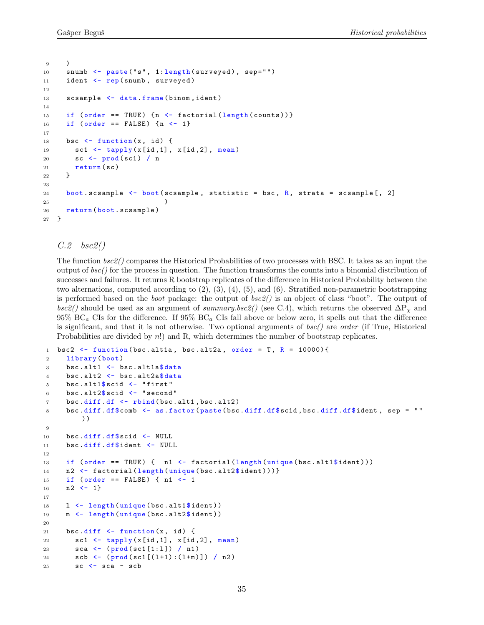```
9 )
10 snumb <- paste ("s", 1: length (surveyed), sep="")
11 ident <- rep(snumb, surveyed)
12
13 scsample <- data.frame (binom, ident)
14
15 if ( order == TRUE) \{n \leq - \text{ factorial}(\text{length}(\text{counts}))\}16 if (order == FALSE) {n < -1}
17
18 bsc \leftarrow function (x, id) {
19 sc1 \leftarrow tapply(x_id,1], x_id,2], mean20 sc <- prod ( sc1 ) / n
21 return (sc)
22 }
23
24 boot scsample \leq boot (scsample, statistic = bsc, R, strata = scsample [, 2]
25 )
26 return ( boot . scsample )
27 }
```
<span id="page-34-0"></span> $C.2$  bsc2()

The function bsc2() compares the Historical Probabilities of two processes with BSC. It takes as an input the output of  $bsc$ ) for the process in question. The function transforms the counts into a binomial distribution of successes and failures. It returns R bootstrap replicates of the difference in Historical Probability between the two alternations, computed according to [\(2\),](#page-6-0) [\(3\),](#page-6-1) [\(4\),](#page-7-0) [\(5\),](#page-7-1) and [\(6\).](#page-8-2) Stratified non-parametric bootstrapping is performed based on the boot package: the output of bsc2() is an object of class "boot". The output of  $bsc2()$  should be used as an argument of summary.bsc2() (see [C.4\)](#page-35-1), which returns the observed  $\Delta P_X$  and  $95\%$  BC<sub>a</sub> CIs for the difference. If  $95\%$  BC<sub>a</sub> CIs fall above or below zero, it spells out that the difference is significant, and that it is not otherwise. Two optional arguments of  $bsc()$  are order (if True, Historical Probabilities are divided by n!) and R, which determines the number of bootstrap replicates.

```
1 bsc2 \le function (bsc.alt1a, bsc.alt2a, order = T, R = 10000) {
2 library (boot)
3 bsc. alt1 \leftarrow bsc. alt1a $ data
4 bsc.alt2 <- bsc.alt2a$data
5 bsc.alt1$scid \leftarrow "first"
6 bsc.alt2$scid \leftarrow "second"
7 bsc.diff.df <- rbind(bsc.alt1,bsc.alt2)
8 bsc.diff.df$comb <- as.factor(paste(bsc.diff.df$scid,bsc.diff.df$ident, sep = ""
         ) )
9
10 bsc.diff.df$scid <- NULL
11 bsc . diff .df$ ident <- NULL
12
13 if ( order == TRUE ) { n1 <- factorial (length (unique (bsc.alt1$ident)))
14 n2 \left\{ \text{factorial}(\text{length}(\text{unique}(\text{bsc.alt2$}ident)))) \right\}15 if (order == FALSE) { n1 <- 1
16 n2 \leq -1}
17
18 1 <- length (unique (bsc.alt1$ident))
19 m <- length (unique (bsc.alt2$ident))
20
21 bsc.diff \le function (x, id) {
22 sc1 <- tapply (x[id, 1], x[id, 2], mean)
23 sca <- (prod(sc1[1:1]) / n1)
24 scb \leftarrow (\text{prod}(\text{sc1}[(1+1):(1+m)]) / n2)
25 \text{SC} \leftarrow sca - scb
```